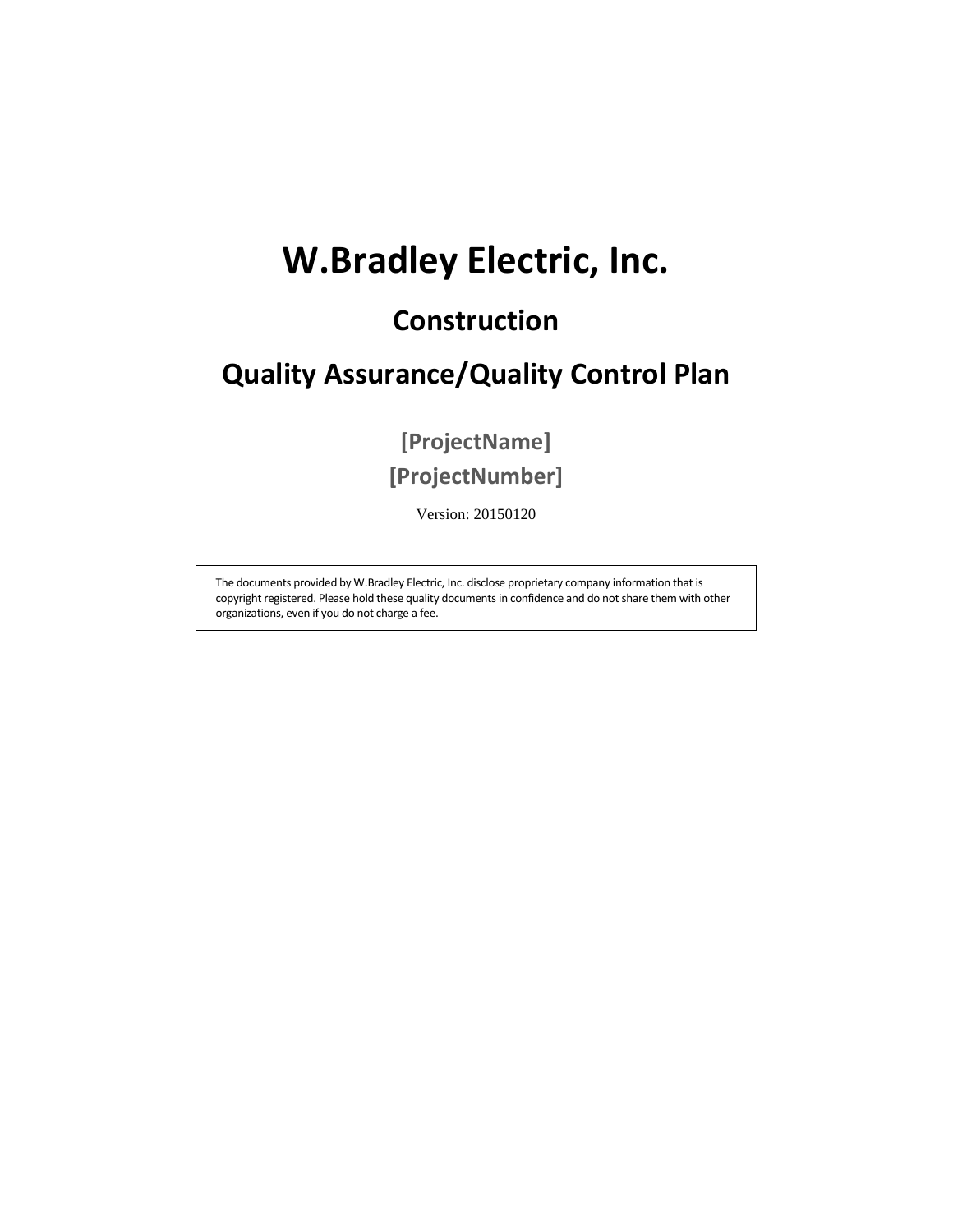# **W.Bradley Electric, Inc.**

## **Construction**

## **Quality Assurance/Quality Control Plan**

**[ProjectName] [ProjectNumber]** 

Version: 20150120

The documents provided by W.Bradley Electric, Inc. disclose proprietary company information that is copyright registered. Please hold these quality documents in confidence and do not share them with other organizations, even if you do not charge a fee.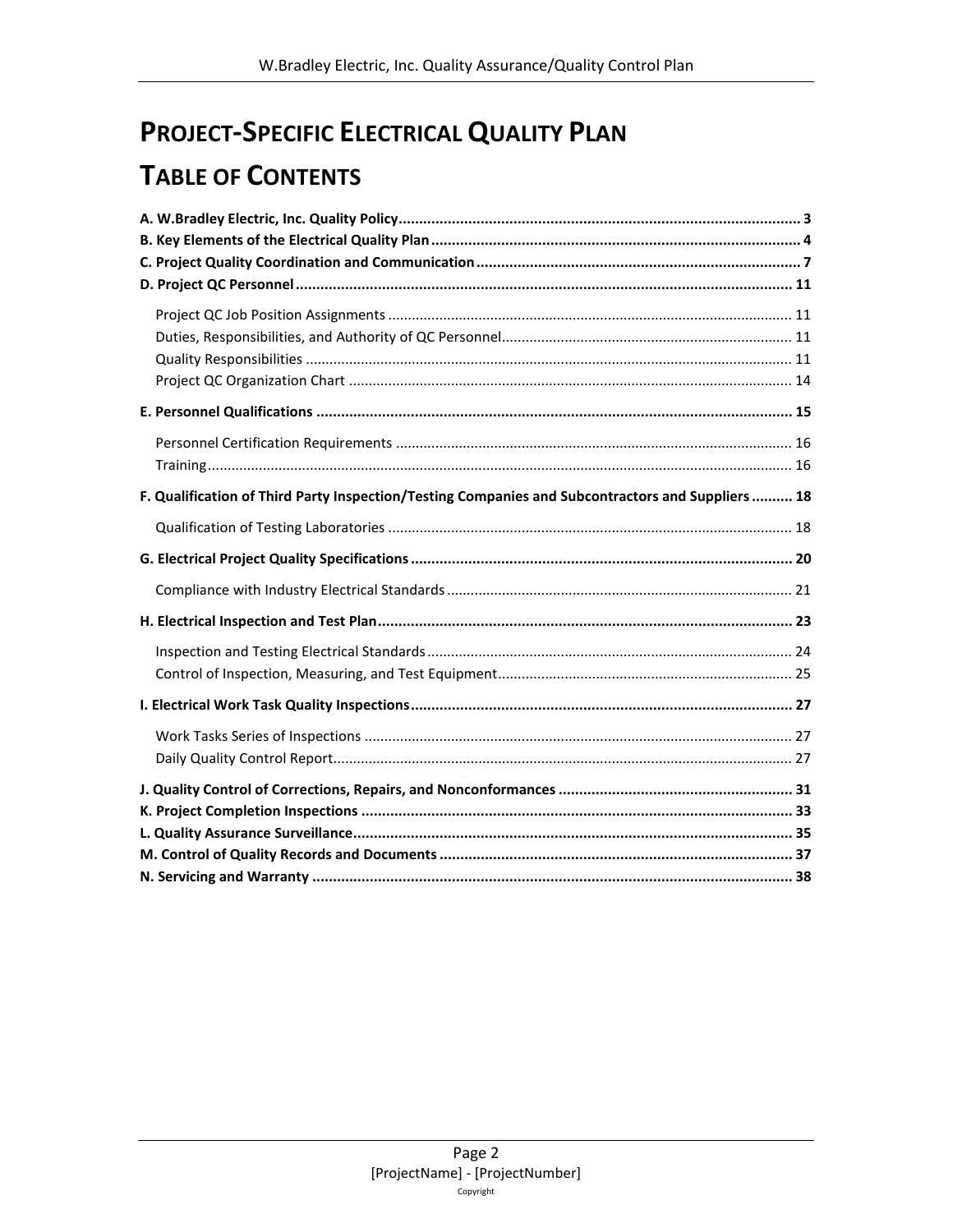## **PROJECT-SPECIFIC ELECTRICAL QUALITY PLAN**

## **TABLE OF CONTENTS**

| F. Qualification of Third Party Inspection/Testing Companies and Subcontractors and Suppliers  18 |  |
|---------------------------------------------------------------------------------------------------|--|
|                                                                                                   |  |
|                                                                                                   |  |
|                                                                                                   |  |
|                                                                                                   |  |
|                                                                                                   |  |
|                                                                                                   |  |
|                                                                                                   |  |
|                                                                                                   |  |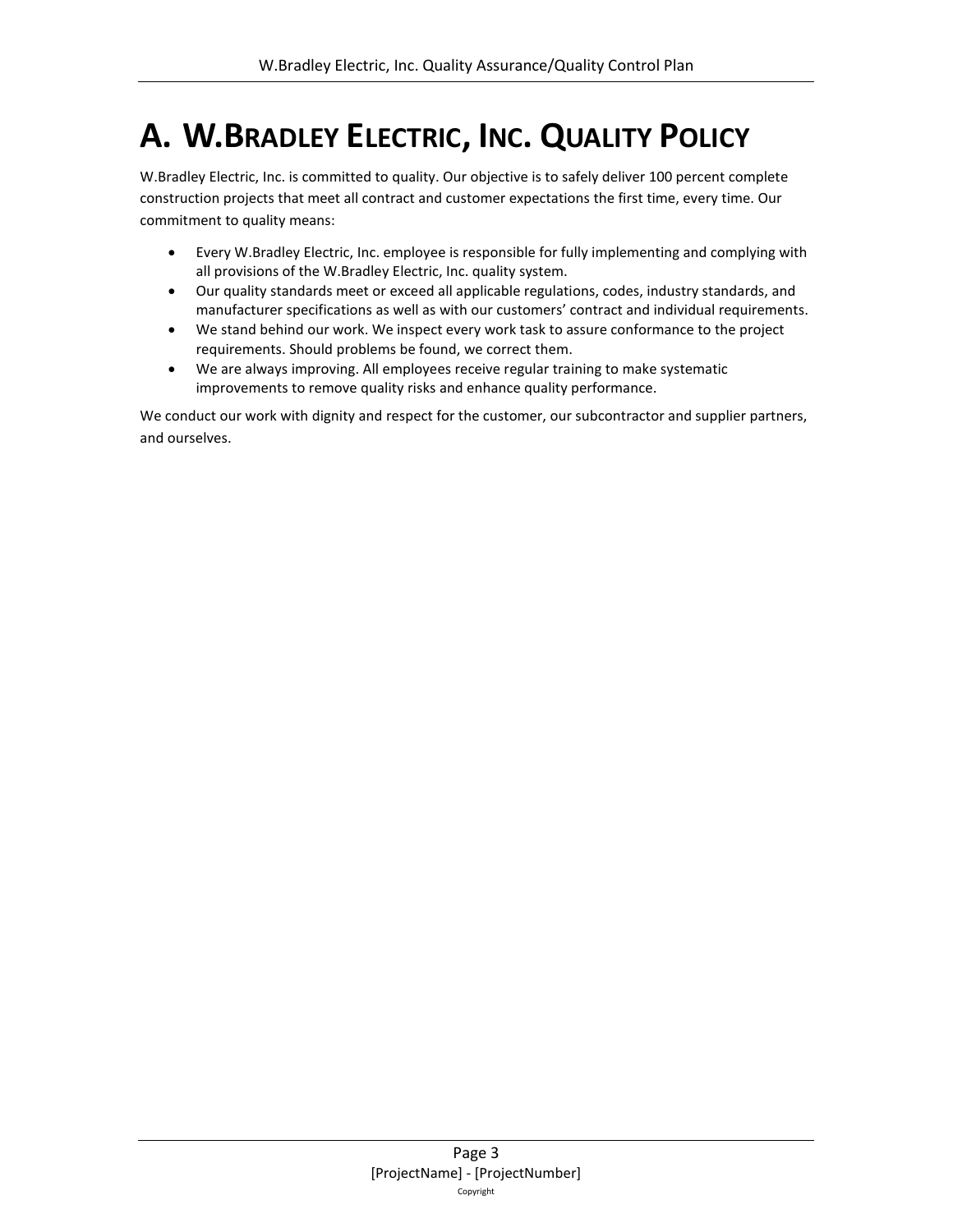# <span id="page-2-0"></span>**A. W.BRADLEY ELECTRIC, INC. QUALITY POLICY**

W.Bradley Electric, Inc. is committed to quality. Our objective is to safely deliver 100 percent complete construction projects that meet all contract and customer expectations the first time, every time. Our commitment to quality means:

- Every W.Bradley Electric, Inc. employee is responsible for fully implementing and complying with all provisions of the W.Bradley Electric, Inc. quality system.
- Our quality standards meet or exceed all applicable regulations, codes, industry standards, and manufacturer specifications as well as with our customers' contract and individual requirements.
- We stand behind our work. We inspect every work task to assure conformance to the project requirements. Should problems be found, we correct them.
- We are always improving. All employees receive regular training to make systematic improvements to remove quality risks and enhance quality performance.

We conduct our work with dignity and respect for the customer, our subcontractor and supplier partners, and ourselves.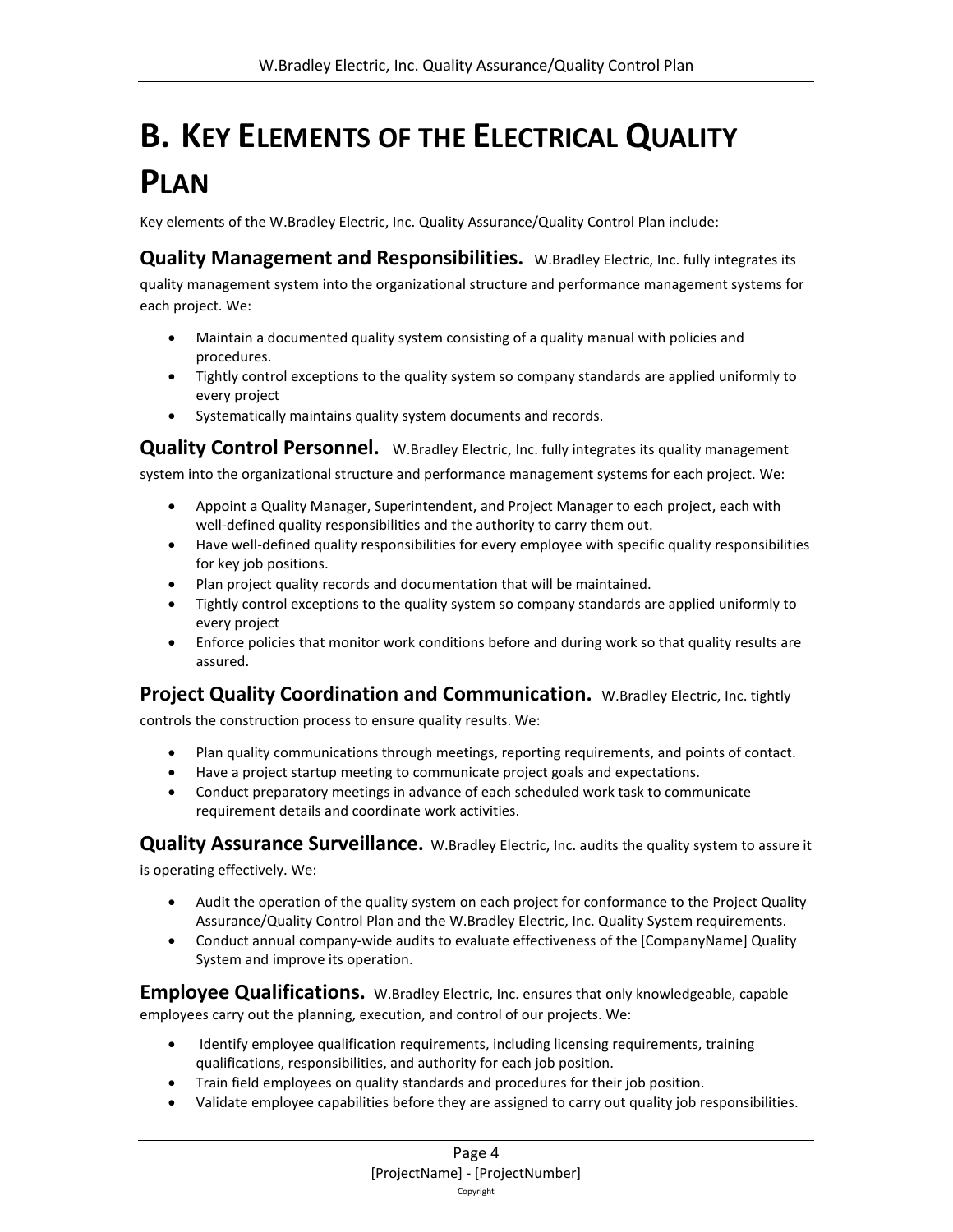# <span id="page-3-0"></span>**B. KEY ELEMENTS OF THE ELECTRICAL QUALITY PLAN**

Key elements of the W.Bradley Electric, Inc. Quality Assurance/Quality Control Plan include:

**Quality Management and Responsibilities.** W.Bradley Electric, Inc. fully integrates its quality management system into the organizational structure and performance management systems for each project. We:

- Maintain a documented quality system consisting of a quality manual with policies and procedures.
- Tightly control exceptions to the quality system so company standards are applied uniformly to every project
- Systematically maintains quality system documents and records.

**Quality Control Personnel.** W.Bradley Electric, Inc. fully integrates its quality management

system into the organizational structure and performance management systems for each project. We:

- Appoint a Quality Manager, Superintendent, and Project Manager to each project, each with well-defined quality responsibilities and the authority to carry them out.
- Have well-defined quality responsibilities for every employee with specific quality responsibilities for key job positions.
- Plan project quality records and documentation that will be maintained.
- Tightly control exceptions to the quality system so company standards are applied uniformly to every project
- Enforce policies that monitor work conditions before and during work so that quality results are assured.

### **Project Quality Coordination and Communication.** W.Bradley Electric, Inc. tightly

controls the construction process to ensure quality results. We:

- Plan quality communications through meetings, reporting requirements, and points of contact.
- Have a project startup meeting to communicate project goals and expectations.
- Conduct preparatory meetings in advance of each scheduled work task to communicate requirement details and coordinate work activities.

**Quality Assurance Surveillance.** W.Bradley Electric, Inc. audits the quality system to assure it

is operating effectively. We:

- Audit the operation of the quality system on each project for conformance to the Project Quality Assurance/Quality Control Plan and the W.Bradley Electric, Inc. Quality System requirements.
- Conduct annual company-wide audits to evaluate effectiveness of the [CompanyName] Quality System and improve its operation.

**Employee Qualifications.** W.Bradley Electric, Inc. ensures that only knowledgeable, capable employees carry out the planning, execution, and control of our projects. We:

- Identify employee qualification requirements, including licensing requirements, training qualifications, responsibilities, and authority for each job position.
- Train field employees on quality standards and procedures for their job position.
- Validate employee capabilities before they are assigned to carry out quality job responsibilities.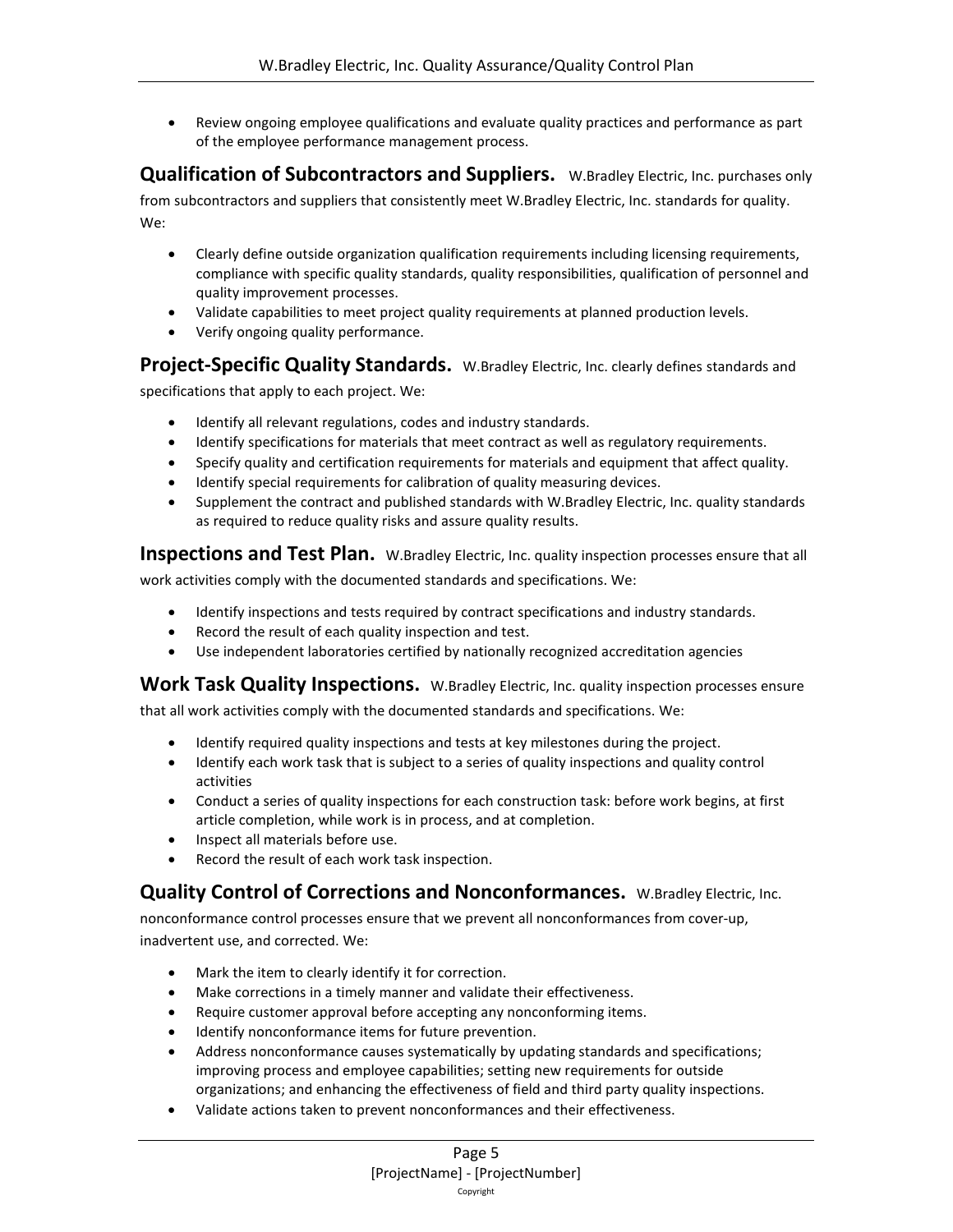• Review ongoing employee qualifications and evaluate quality practices and performance as part of the employee performance management process.

**Qualification of Subcontractors and Suppliers.** W.Bradley Electric, Inc. purchases only from subcontractors and suppliers that consistently meet W.Bradley Electric, Inc. standards for quality. We:

- Clearly define outside organization qualification requirements including licensing requirements, compliance with specific quality standards, quality responsibilities, qualification of personnel and quality improvement processes.
- Validate capabilities to meet project quality requirements at planned production levels.
- Verify ongoing quality performance.

**Project-Specific Quality Standards.** W.Bradley Electric, Inc. clearly defines standards and

specifications that apply to each project. We:

- Identify all relevant regulations, codes and industry standards.
- Identify specifications for materials that meet contract as well as regulatory requirements.
- Specify quality and certification requirements for materials and equipment that affect quality.
- Identify special requirements for calibration of quality measuring devices.
- Supplement the contract and published standards with W.Bradley Electric, Inc. quality standards as required to reduce quality risks and assure quality results.

**Inspections and Test Plan.** W.Bradley Electric, Inc. quality inspection processes ensure that all

work activities comply with the documented standards and specifications. We:

- Identify inspections and tests required by contract specifications and industry standards.
- Record the result of each quality inspection and test.
- Use independent laboratories certified by nationally recognized accreditation agencies

**Work Task Quality Inspections.** W.Bradley Electric, Inc. quality inspection processes ensure

that all work activities comply with the documented standards and specifications. We:

- Identify required quality inspections and tests at key milestones during the project.
- Identify each work task that is subject to a series of quality inspections and quality control activities
- Conduct a series of quality inspections for each construction task: before work begins, at first article completion, while work is in process, and at completion.
- Inspect all materials before use.
- Record the result of each work task inspection.

**Quality Control of Corrections and Nonconformances.** W.Bradley Electric, Inc.

nonconformance control processes ensure that we prevent all nonconformances from cover-up, inadvertent use, and corrected. We:

- Mark the item to clearly identify it for correction.
- Make corrections in a timely manner and validate their effectiveness.
- Require customer approval before accepting any nonconforming items.
- Identify nonconformance items for future prevention.
- Address nonconformance causes systematically by updating standards and specifications; improving process and employee capabilities; setting new requirements for outside organizations; and enhancing the effectiveness of field and third party quality inspections.
- Validate actions taken to prevent nonconformances and their effectiveness.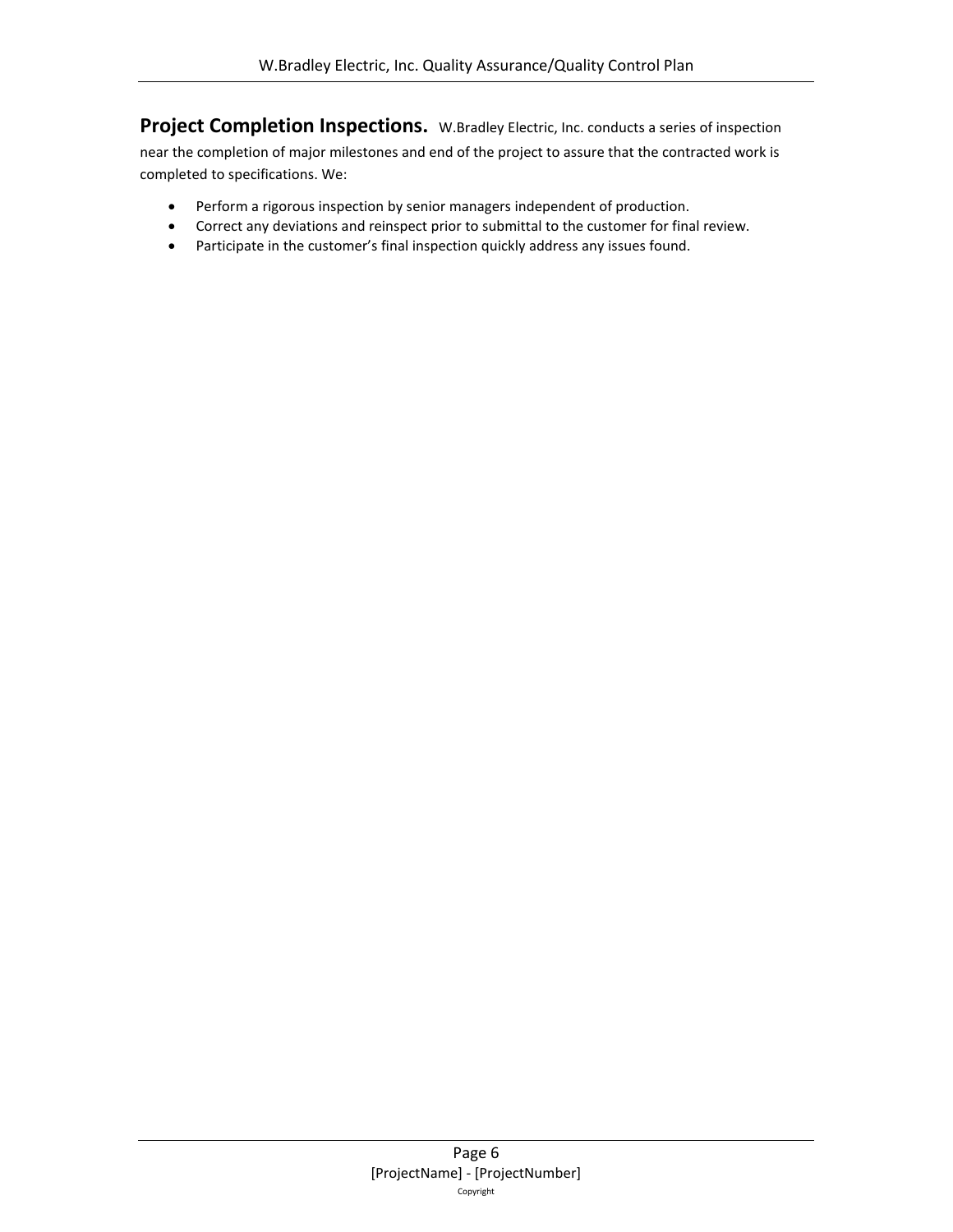**Project Completion Inspections.** W.Bradley Electric, Inc. conducts a series of inspection near the completion of major milestones and end of the project to assure that the contracted work is completed to specifications. We:

- Perform a rigorous inspection by senior managers independent of production.
- Correct any deviations and reinspect prior to submittal to the customer for final review.
- Participate in the customer's final inspection quickly address any issues found.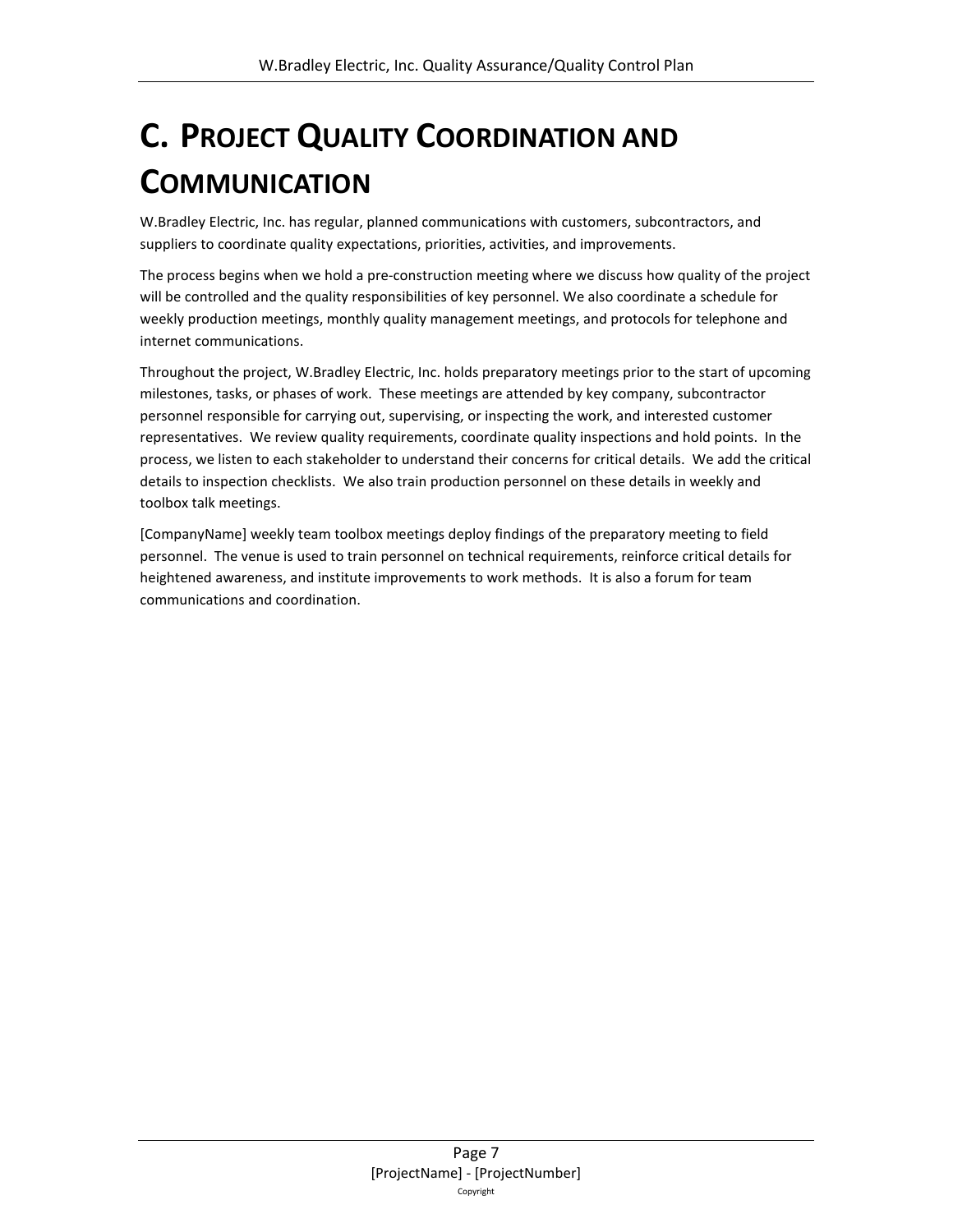# <span id="page-6-0"></span>**C. PROJECT QUALITY COORDINATION AND COMMUNICATION**

W.Bradley Electric, Inc. has regular, planned communications with customers, subcontractors, and suppliers to coordinate quality expectations, priorities, activities, and improvements.

The process begins when we hold a pre-construction meeting where we discuss how quality of the project will be controlled and the quality responsibilities of key personnel. We also coordinate a schedule for weekly production meetings, monthly quality management meetings, and protocols for telephone and internet communications.

Throughout the project, W.Bradley Electric, Inc. holds preparatory meetings prior to the start of upcoming milestones, tasks, or phases of work. These meetings are attended by key company, subcontractor personnel responsible for carrying out, supervising, or inspecting the work, and interested customer representatives. We review quality requirements, coordinate quality inspections and hold points. In the process, we listen to each stakeholder to understand their concerns for critical details. We add the critical details to inspection checklists. We also train production personnel on these details in weekly and toolbox talk meetings.

[CompanyName] weekly team toolbox meetings deploy findings of the preparatory meeting to field personnel. The venue is used to train personnel on technical requirements, reinforce critical details for heightened awareness, and institute improvements to work methods. It is also a forum for team communications and coordination.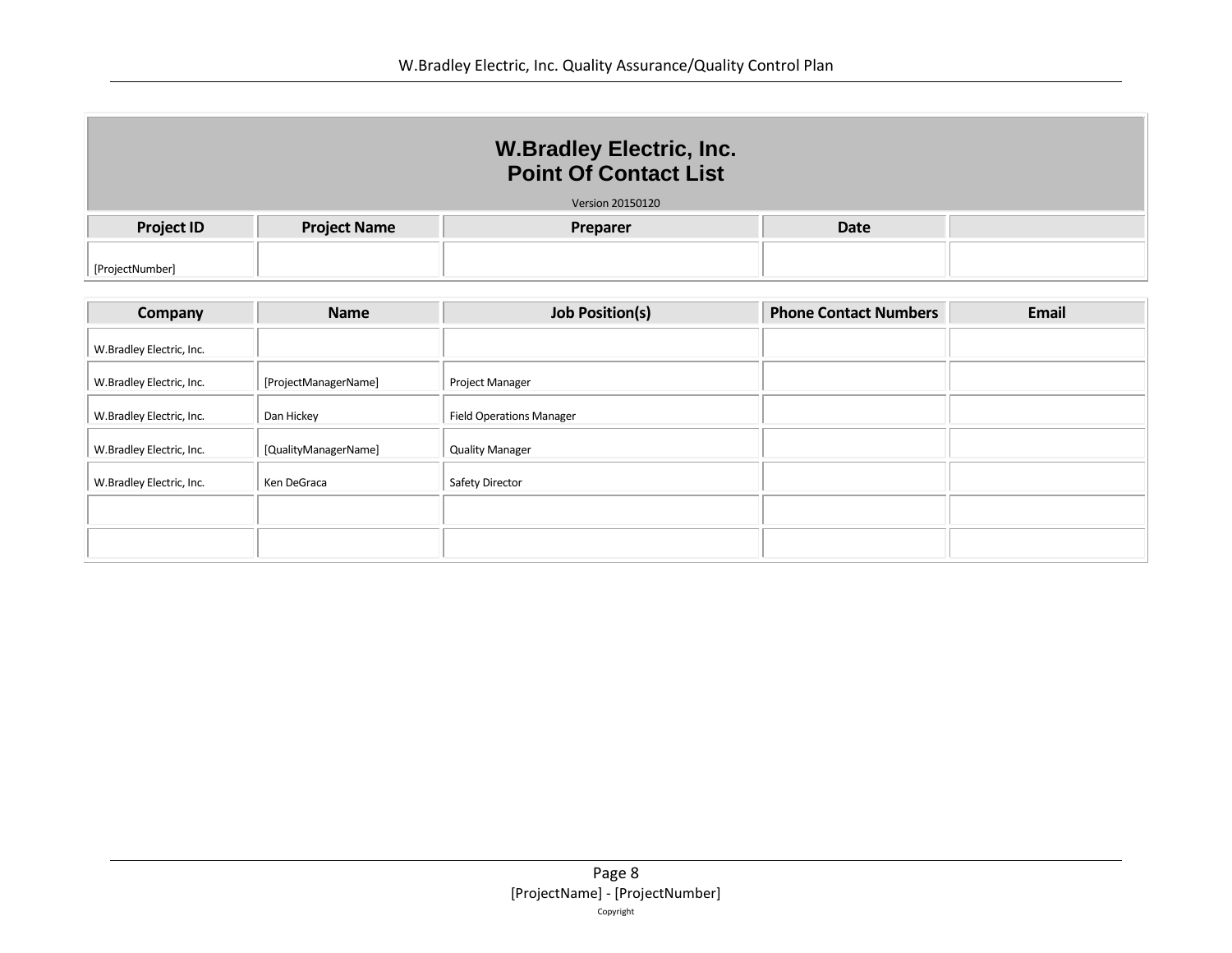| <b>W.Bradley Electric, Inc.</b><br><b>Point Of Contact List</b> |                         |          |             |  |  |  |  |  |
|-----------------------------------------------------------------|-------------------------|----------|-------------|--|--|--|--|--|
|                                                                 | <b>Version 20150120</b> |          |             |  |  |  |  |  |
| <b>Project ID</b>                                               | <b>Project Name</b>     | Preparer | <b>Date</b> |  |  |  |  |  |
| [ProjectNumber]                                                 |                         |          |             |  |  |  |  |  |

| Company                  | <b>Name</b>          | <b>Job Position(s)</b>          | <b>Phone Contact Numbers</b> | <b>Email</b> |
|--------------------------|----------------------|---------------------------------|------------------------------|--------------|
| W.Bradley Electric, Inc. |                      |                                 |                              |              |
| W.Bradley Electric, Inc. | [ProjectManagerName] | <b>Project Manager</b>          |                              |              |
| W.Bradley Electric, Inc. | Dan Hickey           | <b>Field Operations Manager</b> |                              |              |
| W.Bradley Electric, Inc. | [QualityManagerName] | <b>Quality Manager</b>          |                              |              |
| W.Bradley Electric, Inc. | Ken DeGraca          | Safety Director                 |                              |              |
|                          |                      |                                 |                              |              |
|                          |                      |                                 |                              |              |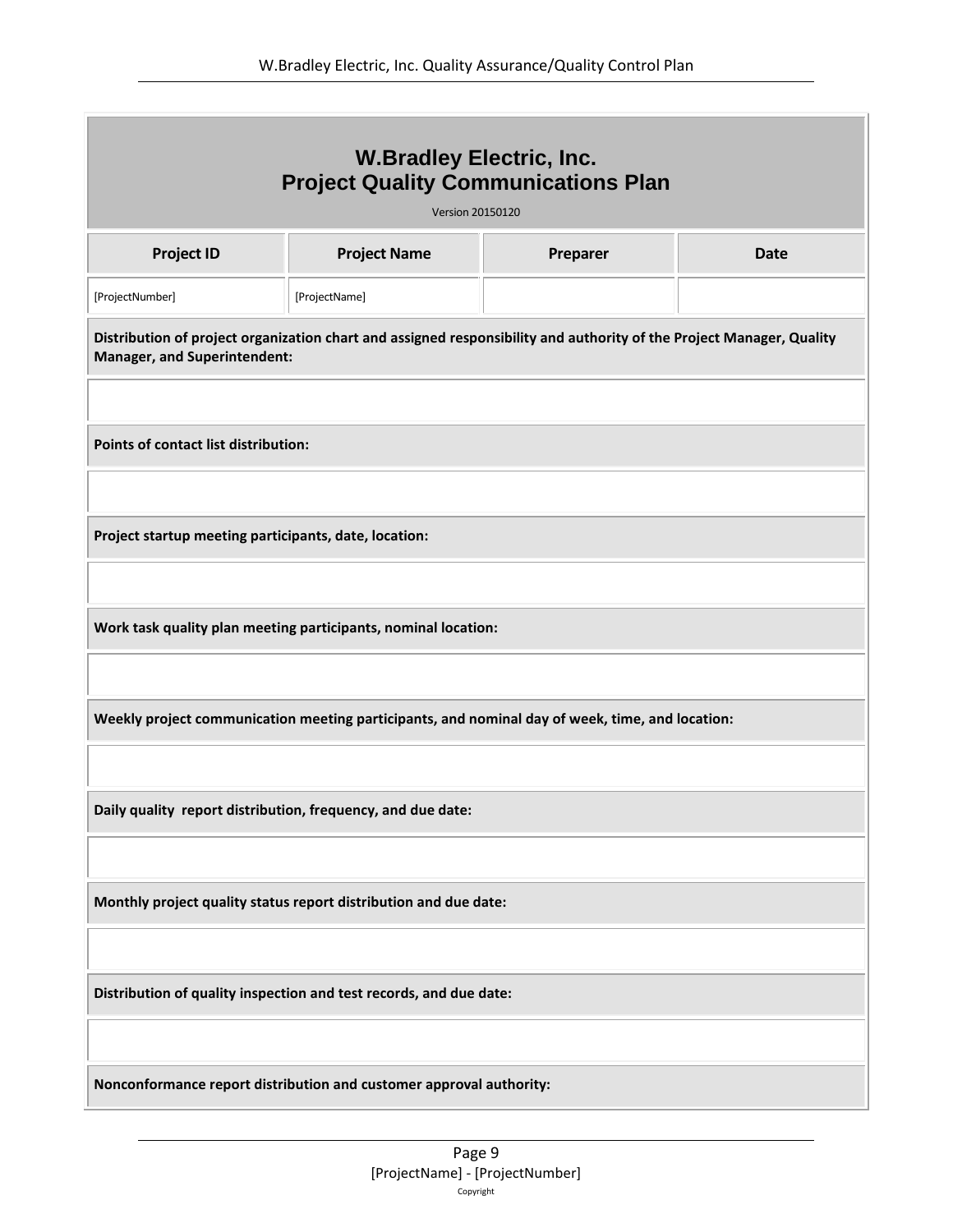| <b>W.Bradley Electric, Inc.</b><br><b>Project Quality Communications Plan</b><br><b>Version 20150120</b>                                                    |                                                                     |          |             |  |  |  |  |  |
|-------------------------------------------------------------------------------------------------------------------------------------------------------------|---------------------------------------------------------------------|----------|-------------|--|--|--|--|--|
| <b>Project ID</b>                                                                                                                                           | <b>Project Name</b>                                                 | Preparer | <b>Date</b> |  |  |  |  |  |
| [ProjectNumber]<br>[ProjectName]                                                                                                                            |                                                                     |          |             |  |  |  |  |  |
| Distribution of project organization chart and assigned responsibility and authority of the Project Manager, Quality<br><b>Manager, and Superintendent:</b> |                                                                     |          |             |  |  |  |  |  |
| Points of contact list distribution:                                                                                                                        |                                                                     |          |             |  |  |  |  |  |
| Project startup meeting participants, date, location:                                                                                                       |                                                                     |          |             |  |  |  |  |  |
| Work task quality plan meeting participants, nominal location:                                                                                              |                                                                     |          |             |  |  |  |  |  |
| Weekly project communication meeting participants, and nominal day of week, time, and location:                                                             |                                                                     |          |             |  |  |  |  |  |
| Daily quality report distribution, frequency, and due date:                                                                                                 |                                                                     |          |             |  |  |  |  |  |
| Monthly project quality status report distribution and due date:                                                                                            |                                                                     |          |             |  |  |  |  |  |
| Distribution of quality inspection and test records, and due date:                                                                                          |                                                                     |          |             |  |  |  |  |  |
|                                                                                                                                                             | Nonconformance report distribution and customer approval authority: |          |             |  |  |  |  |  |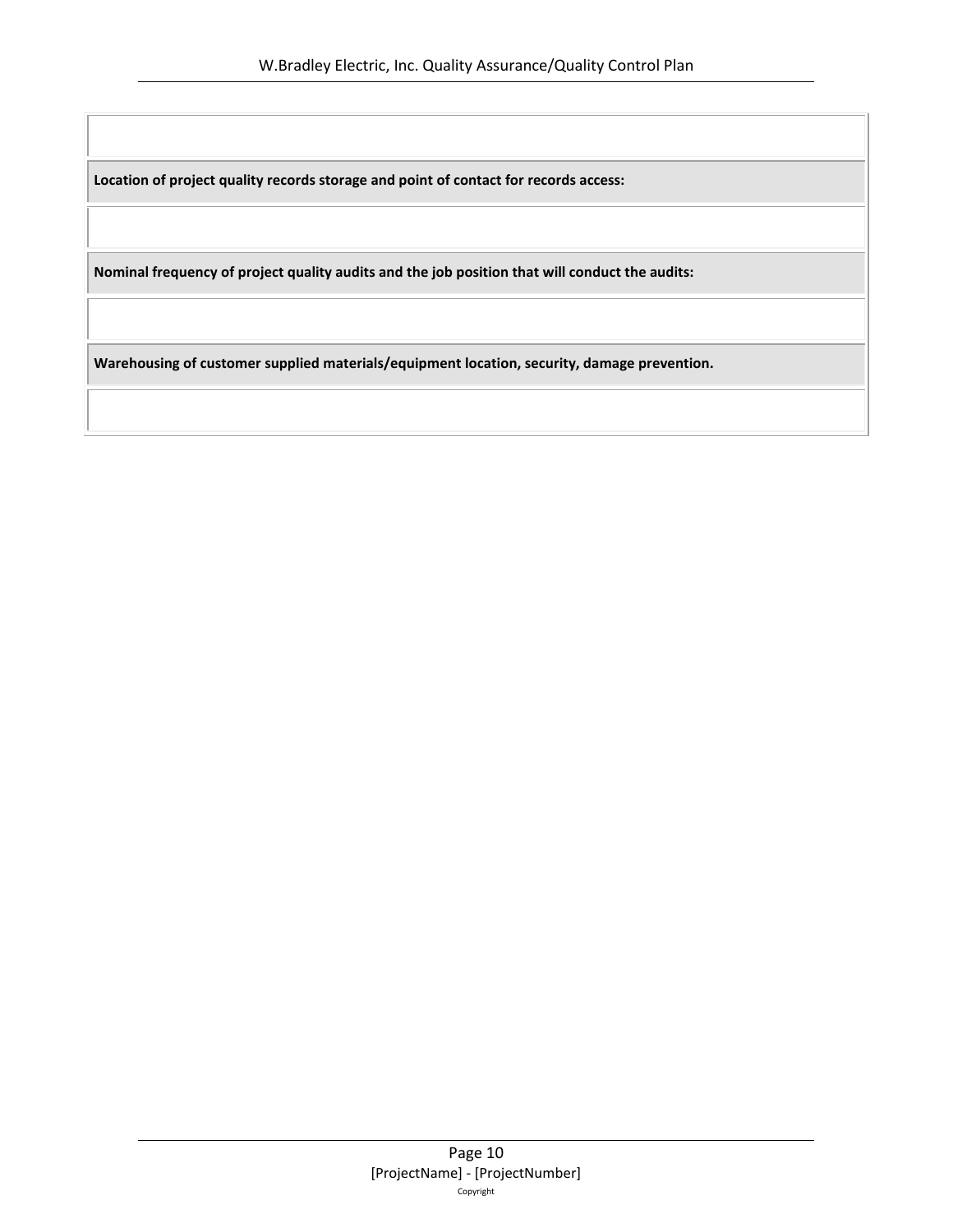**Location of project quality records storage and point of contact for records access:**

**Nominal frequency of project quality audits and the job position that will conduct the audits:**

**Warehousing of customer supplied materials/equipment location, security, damage prevention.**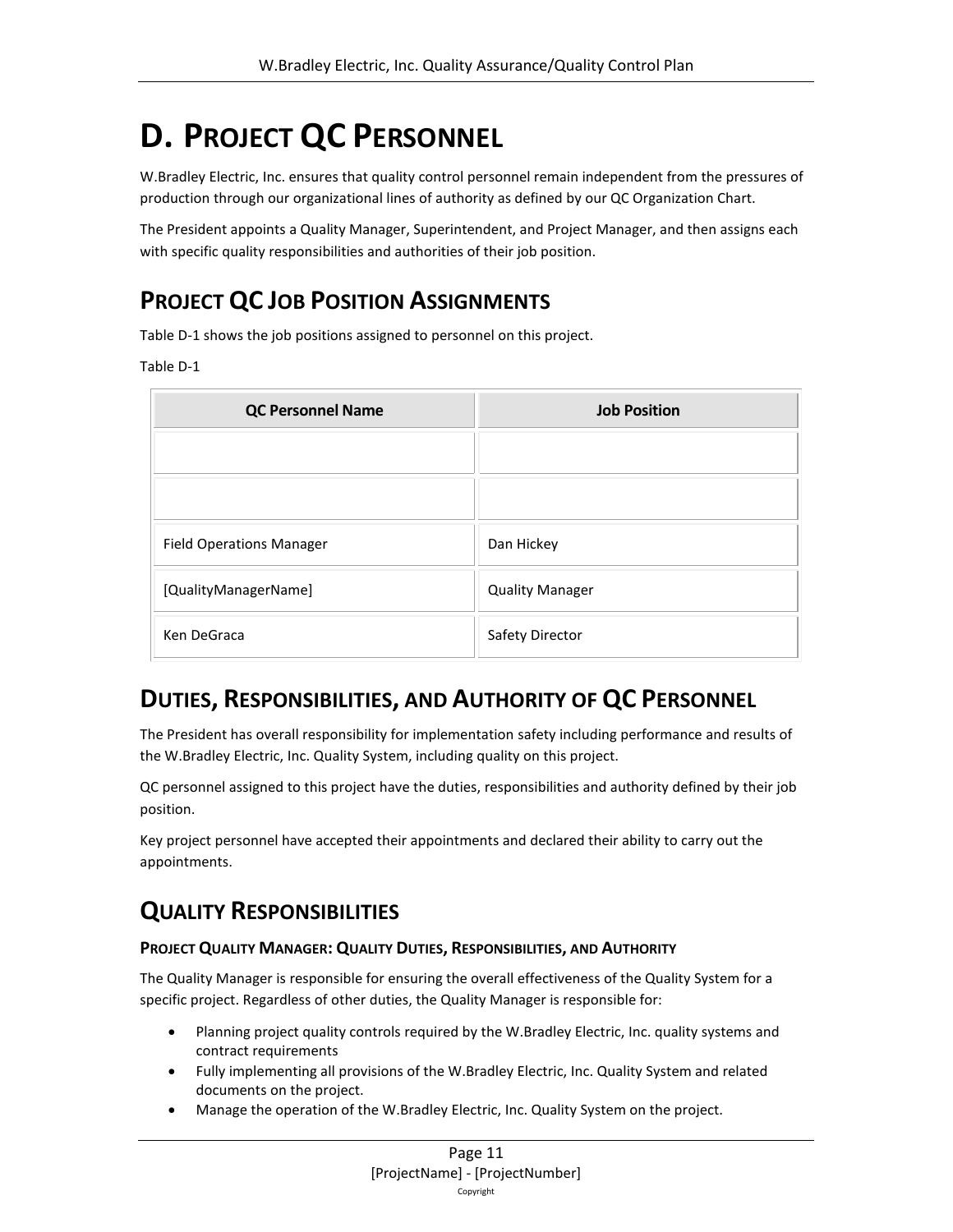# <span id="page-10-0"></span>**D. PROJECT QC PERSONNEL**

W.Bradley Electric, Inc. ensures that quality control personnel remain independent from the pressures of production through our organizational lines of authority as defined by our QC Organization Chart.

The President appoints a Quality Manager, Superintendent, and Project Manager, and then assigns each with specific quality responsibilities and authorities of their job position.

### <span id="page-10-1"></span>**PROJECT QC JOB POSITION ASSIGNMENTS**

Tabl[e D-](#page-10-0)1 shows the job positions assigned to personnel on this project.

#### Tabl[e D-](#page-10-0)1

| <b>QC Personnel Name</b>        | <b>Job Position</b>    |
|---------------------------------|------------------------|
|                                 |                        |
|                                 |                        |
| <b>Field Operations Manager</b> | Dan Hickey             |
| [QualityManagerName]            | <b>Quality Manager</b> |
| Ken DeGraca                     | Safety Director        |

### <span id="page-10-2"></span>**DUTIES, RESPONSIBILITIES, AND AUTHORITY OF QC PERSONNEL**

The President has overall responsibility for implementation safety including performance and results of the W.Bradley Electric, Inc. Quality System, including quality on this project.

QC personnel assigned to this project have the duties, responsibilities and authority defined by their job position.

Key project personnel have accepted their appointments and declared their ability to carry out the appointments.

### <span id="page-10-3"></span>**QUALITY RESPONSIBILITIES**

#### **PROJECT QUALITY MANAGER: QUALITY DUTIES, RESPONSIBILITIES, AND AUTHORITY**

The Quality Manager is responsible for ensuring the overall effectiveness of the Quality System for a specific project. Regardless of other duties, the Quality Manager is responsible for:

- Planning project quality controls required by the W.Bradley Electric, Inc. quality systems and contract requirements
- Fully implementing all provisions of the W.Bradley Electric, Inc. Quality System and related documents on the project.
- Manage the operation of the W.Bradley Electric, Inc. Quality System on the project.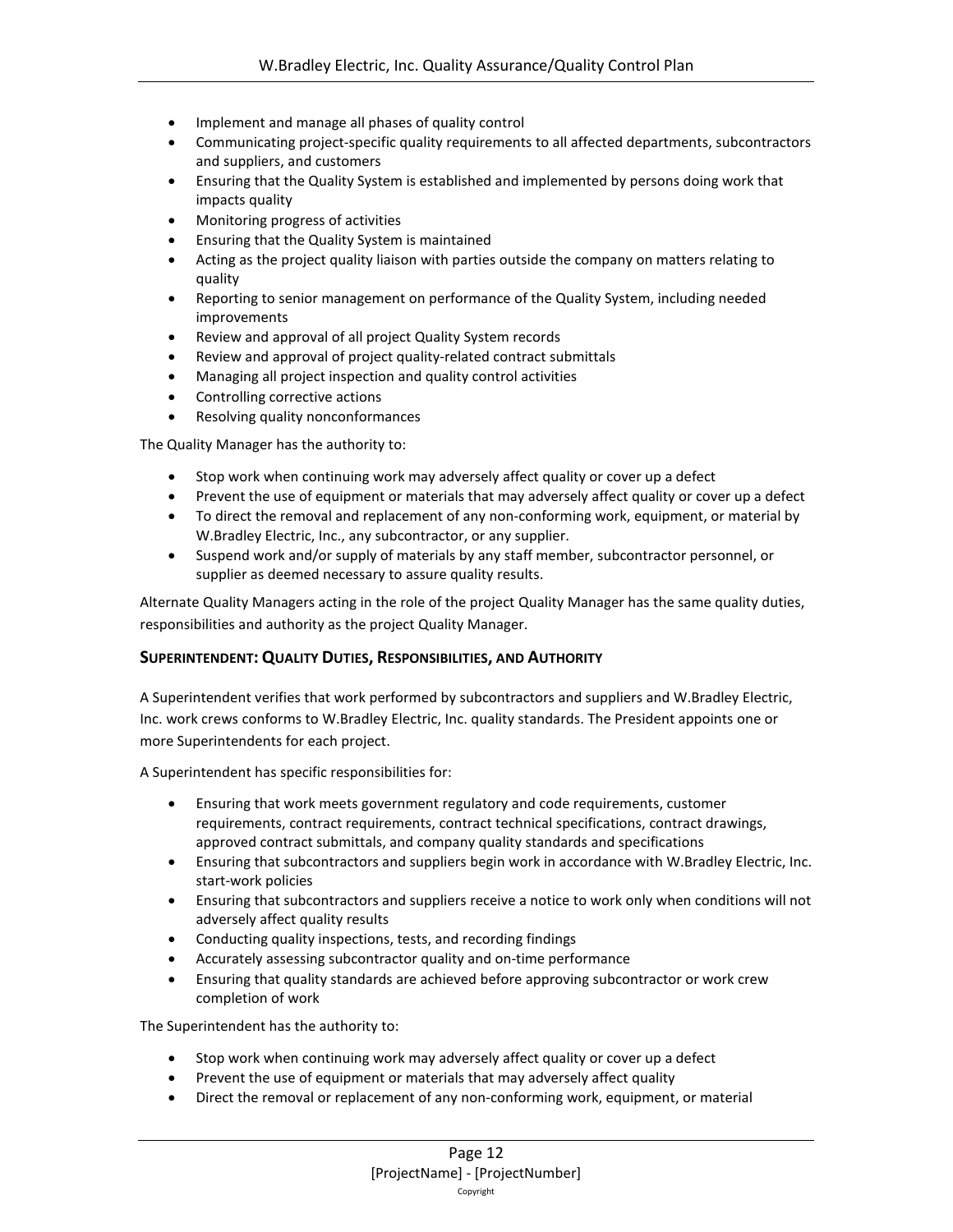- Implement and manage all phases of quality control
- Communicating project-specific quality requirements to all affected departments, subcontractors and suppliers, and customers
- Ensuring that the Quality System is established and implemented by persons doing work that impacts quality
- Monitoring progress of activities
- Ensuring that the Quality System is maintained
- Acting as the project quality liaison with parties outside the company on matters relating to quality
- Reporting to senior management on performance of the Quality System, including needed improvements
- Review and approval of all project Quality System records
- Review and approval of project quality-related contract submittals
- Managing all project inspection and quality control activities
- Controlling corrective actions
- Resolving quality nonconformances

The Quality Manager has the authority to:

- Stop work when continuing work may adversely affect quality or cover up a defect
- Prevent the use of equipment or materials that may adversely affect quality or cover up a defect
- To direct the removal and replacement of any non-conforming work, equipment, or material by W.Bradley Electric, Inc., any subcontractor, or any supplier.
- Suspend work and/or supply of materials by any staff member, subcontractor personnel, or supplier as deemed necessary to assure quality results.

Alternate Quality Managers acting in the role of the project Quality Manager has the same quality duties, responsibilities and authority as the project Quality Manager.

#### **SUPERINTENDENT: QUALITY DUTIES, RESPONSIBILITIES, AND AUTHORITY**

A Superintendent verifies that work performed by subcontractors and suppliers and W.Bradley Electric, Inc. work crews conforms to W.Bradley Electric, Inc. quality standards. The President appoints one or more Superintendents for each project.

A Superintendent has specific responsibilities for:

- Ensuring that work meets government regulatory and code requirements, customer requirements, contract requirements, contract technical specifications, contract drawings, approved contract submittals, and company quality standards and specifications
- Ensuring that subcontractors and suppliers begin work in accordance with W.Bradley Electric, Inc. start-work policies
- Ensuring that subcontractors and suppliers receive a notice to work only when conditions will not adversely affect quality results
- Conducting quality inspections, tests, and recording findings
- Accurately assessing subcontractor quality and on-time performance
- Ensuring that quality standards are achieved before approving subcontractor or work crew completion of work

The Superintendent has the authority to:

- Stop work when continuing work may adversely affect quality or cover up a defect
- Prevent the use of equipment or materials that may adversely affect quality
- Direct the removal or replacement of any non-conforming work, equipment, or material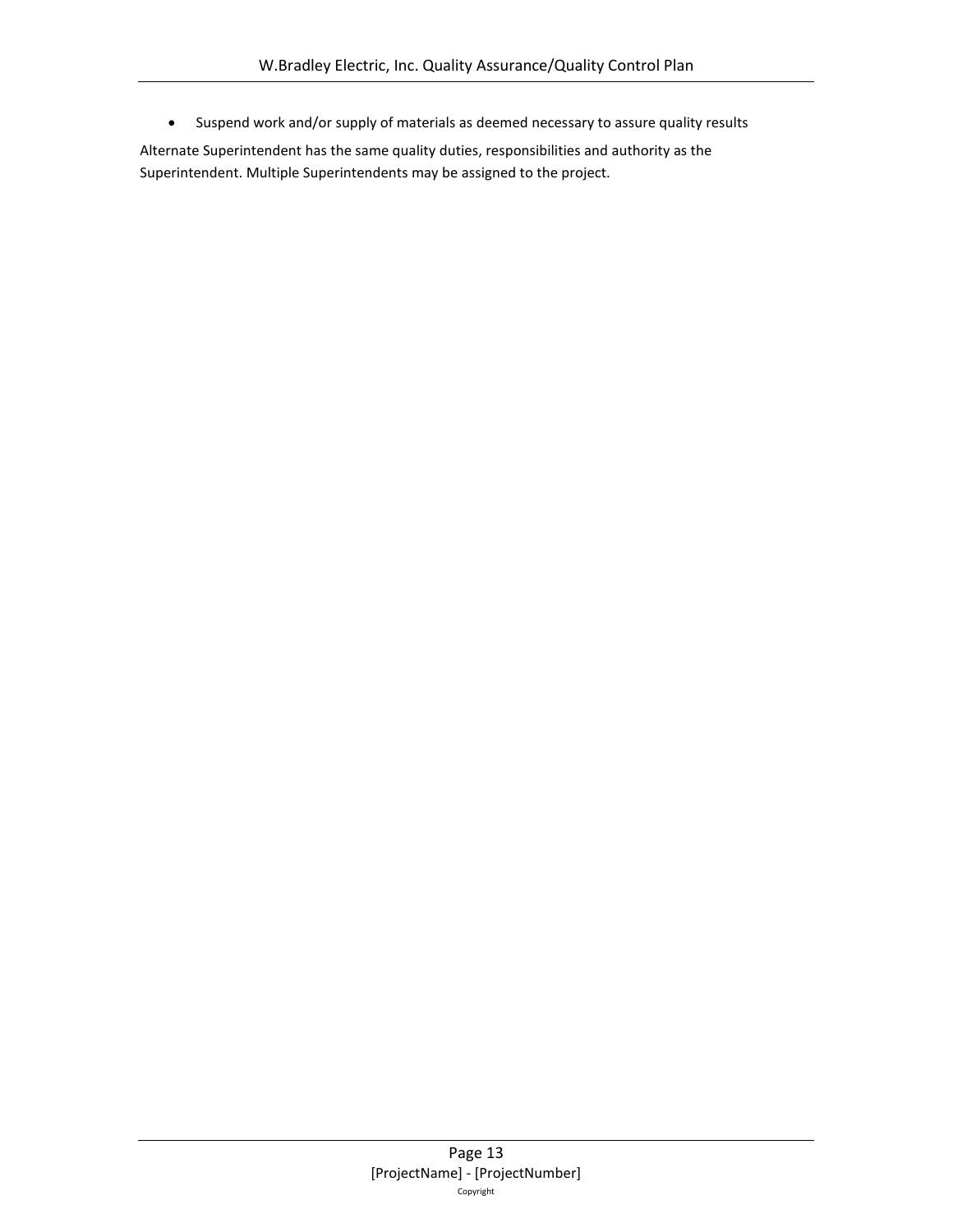• Suspend work and/or supply of materials as deemed necessary to assure quality results

Alternate Superintendent has the same quality duties, responsibilities and authority as the Superintendent. Multiple Superintendents may be assigned to the project.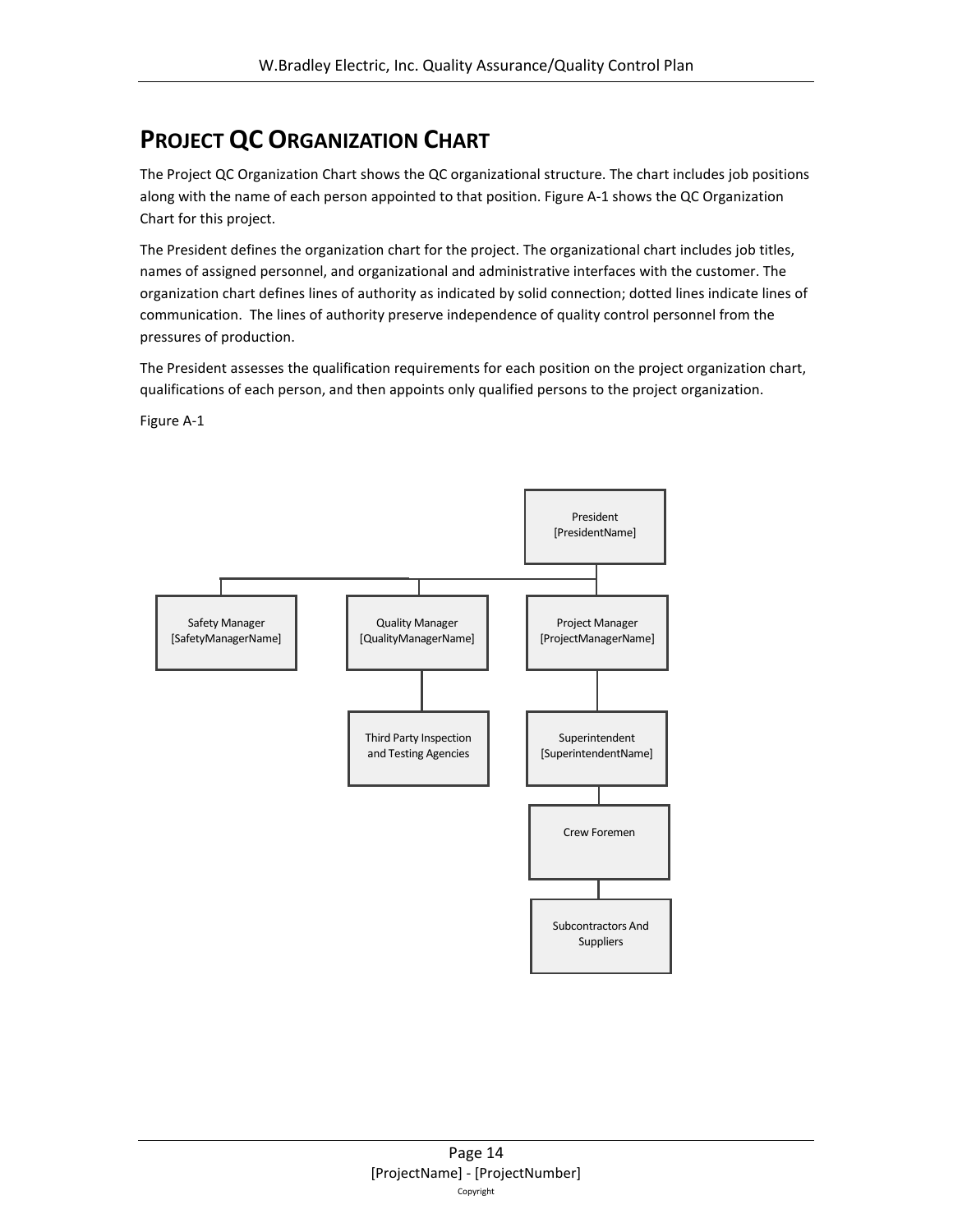### <span id="page-13-0"></span>**PROJECT QC ORGANIZATION CHART**

The Project QC Organization Chart shows the QC organizational structure. The chart includes job positions along with the name of each person appointed to that position. Figure A-1 shows the QC Organization Chart for this project.

The President defines the organization chart for the project. The organizational chart includes job titles, names of assigned personnel, and organizational and administrative interfaces with the customer. The organization chart defines lines of authority as indicated by solid connection; dotted lines indicate lines of communication. The lines of authority preserve independence of quality control personnel from the pressures of production.

The President assesses the qualification requirements for each position on the project organization chart, qualifications of each person, and then appoints only qualified persons to the project organization.

Figure A-1

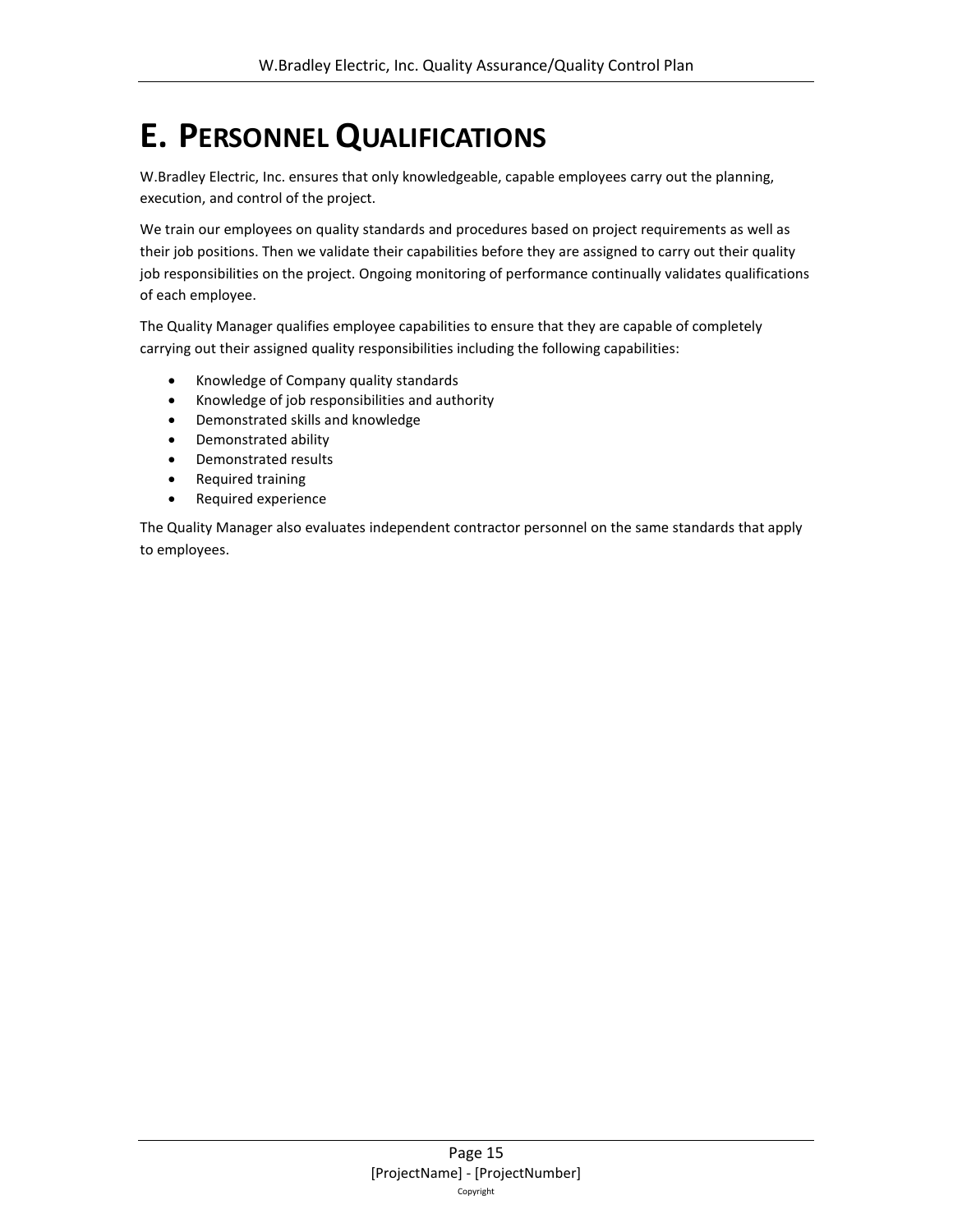## <span id="page-14-0"></span>**E. PERSONNEL QUALIFICATIONS**

W.Bradley Electric, Inc. ensures that only knowledgeable, capable employees carry out the planning, execution, and control of the project.

We train our employees on quality standards and procedures based on project requirements as well as their job positions. Then we validate their capabilities before they are assigned to carry out their quality job responsibilities on the project. Ongoing monitoring of performance continually validates qualifications of each employee.

The Quality Manager qualifies employee capabilities to ensure that they are capable of completely carrying out their assigned quality responsibilities including the following capabilities:

- Knowledge of Company quality standards
- Knowledge of job responsibilities and authority
- Demonstrated skills and knowledge
- Demonstrated ability
- Demonstrated results
- Required training
- Required experience

The Quality Manager also evaluates independent contractor personnel on the same standards that apply to employees.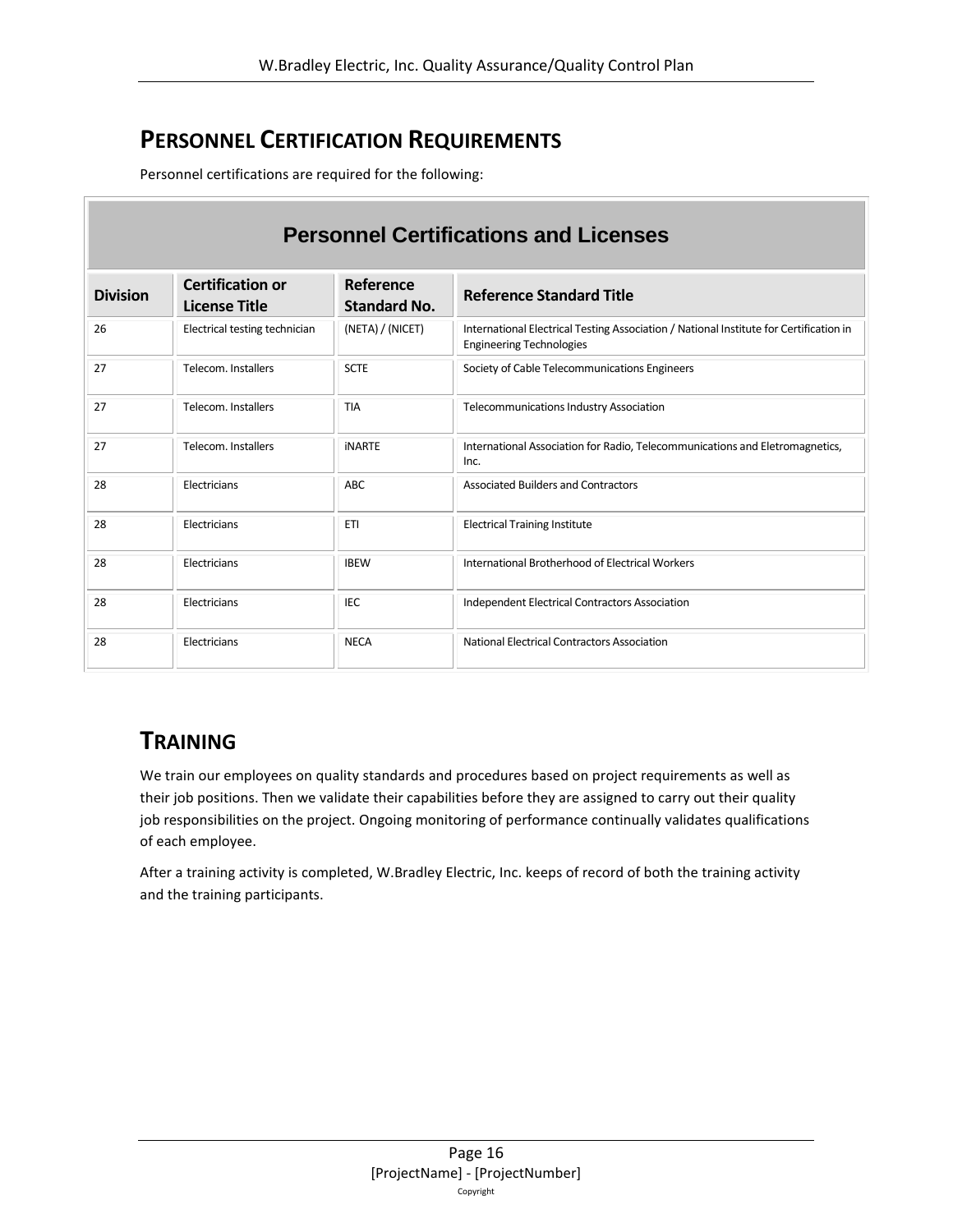### <span id="page-15-0"></span>**PERSONNEL CERTIFICATION REQUIREMENTS**

Personnel certifications are required for the following:

| <b>Personnel Certifications and Licenses</b> |                                                 |                                  |                                                                                                                           |  |  |  |  |
|----------------------------------------------|-------------------------------------------------|----------------------------------|---------------------------------------------------------------------------------------------------------------------------|--|--|--|--|
| <b>Division</b>                              | <b>Certification or</b><br><b>License Title</b> | Reference<br><b>Standard No.</b> | <b>Reference Standard Title</b>                                                                                           |  |  |  |  |
| 26                                           | Electrical testing technician                   | (NETA) / (NICET)                 | International Electrical Testing Association / National Institute for Certification in<br><b>Engineering Technologies</b> |  |  |  |  |
| 27                                           | Telecom, Installers                             | <b>SCTE</b>                      | Society of Cable Telecommunications Engineers                                                                             |  |  |  |  |
| 27                                           | Telecom, Installers                             | <b>TIA</b>                       | Telecommunications Industry Association                                                                                   |  |  |  |  |
| 27                                           | Telecom, Installers                             | <b>INARTE</b>                    | International Association for Radio, Telecommunications and Eletromagnetics,<br>Inc.                                      |  |  |  |  |
| 28                                           | Electricians                                    | <b>ABC</b>                       | Associated Builders and Contractors                                                                                       |  |  |  |  |
| 28                                           | Electricians                                    | <b>ETI</b>                       | <b>Electrical Training Institute</b>                                                                                      |  |  |  |  |
| 28                                           | Electricians                                    | <b>IBEW</b>                      | International Brotherhood of Electrical Workers                                                                           |  |  |  |  |
| 28                                           | Electricians                                    | <b>IEC</b>                       | <b>Independent Electrical Contractors Association</b>                                                                     |  |  |  |  |
| 28                                           | Electricians                                    | <b>NECA</b>                      | National Electrical Contractors Association                                                                               |  |  |  |  |

### <span id="page-15-1"></span>**TRAINING**

We train our employees on quality standards and procedures based on project requirements as well as their job positions. Then we validate their capabilities before they are assigned to carry out their quality job responsibilities on the project. Ongoing monitoring of performance continually validates qualifications of each employee.

After a training activity is completed, W.Bradley Electric, Inc. keeps of record of both the training activity and the training participants.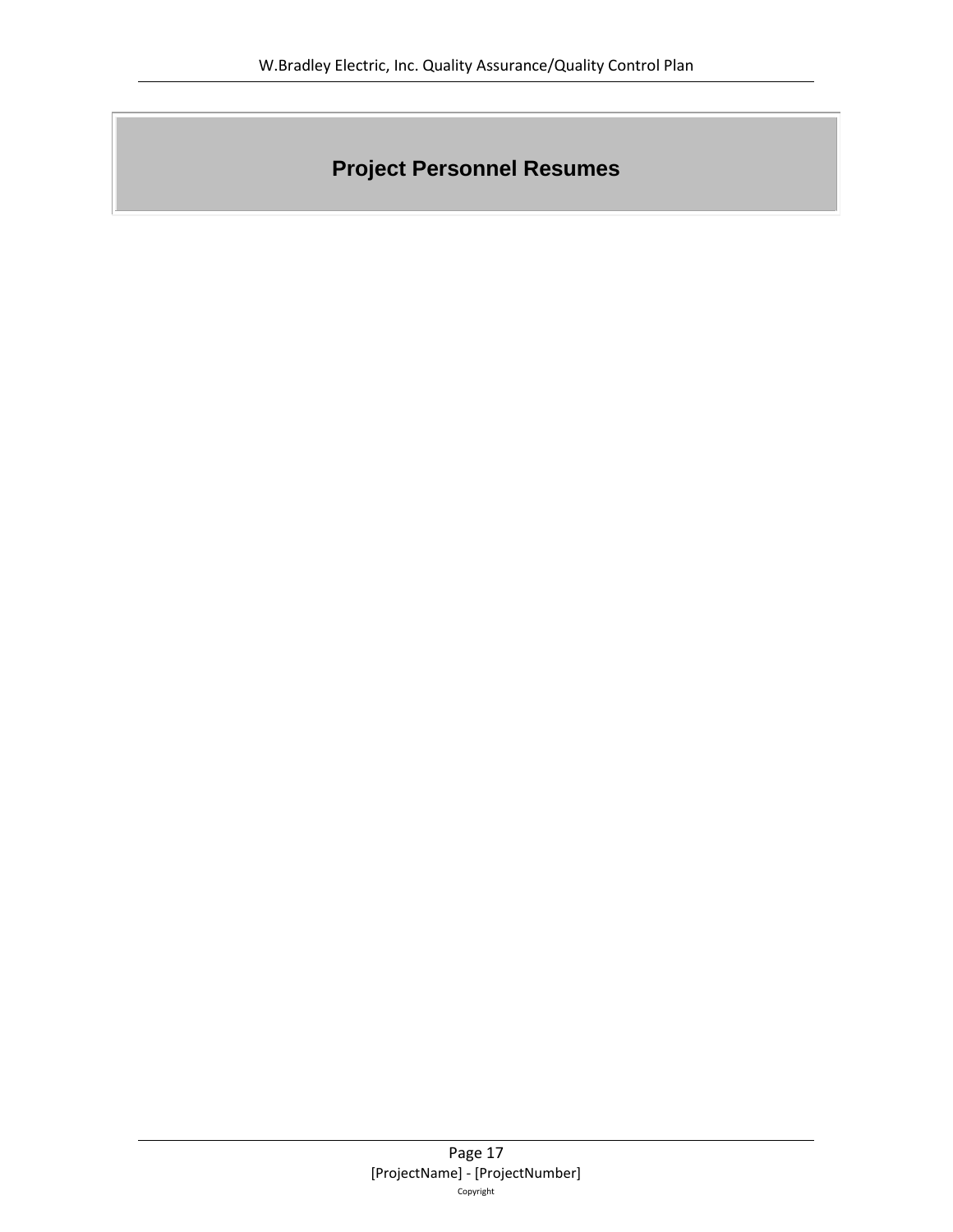## **Project Personnel Resumes**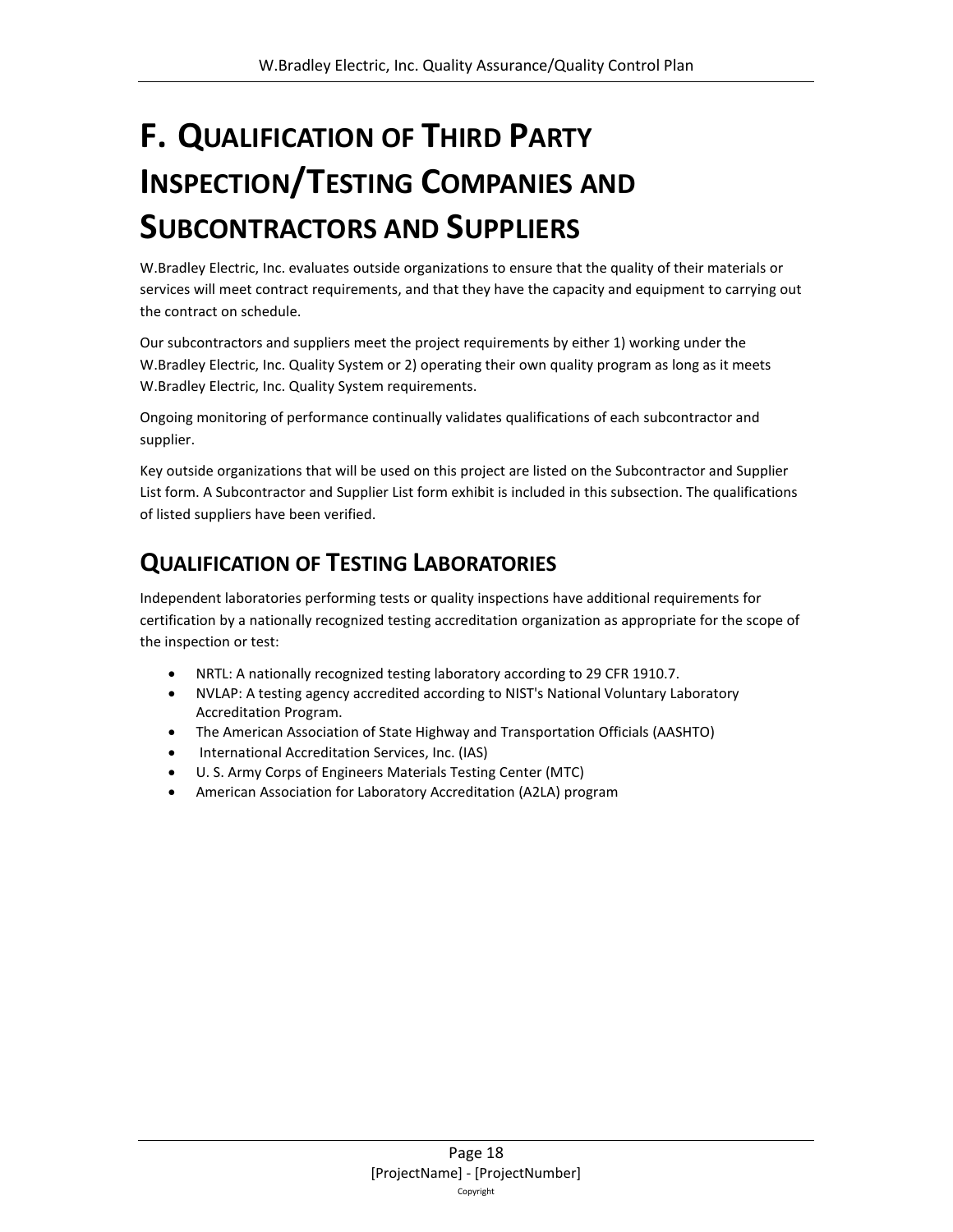# <span id="page-17-0"></span>**F. QUALIFICATION OF THIRD PARTY INSPECTION/TESTING COMPANIES AND SUBCONTRACTORS AND SUPPLIERS**

W.Bradley Electric, Inc. evaluates outside organizations to ensure that the quality of their materials or services will meet contract requirements, and that they have the capacity and equipment to carrying out the contract on schedule.

Our subcontractors and suppliers meet the project requirements by either 1) working under the W.Bradley Electric, Inc. Quality System or 2) operating their own quality program as long as it meets W.Bradley Electric, Inc. Quality System requirements.

Ongoing monitoring of performance continually validates qualifications of each subcontractor and supplier.

Key outside organizations that will be used on this project are listed on the Subcontractor and Supplier List form. A Subcontractor and Supplier List form exhibit is included in this subsection. The qualifications of listed suppliers have been verified.

### <span id="page-17-1"></span>**QUALIFICATION OF TESTING LABORATORIES**

Independent laboratories performing tests or quality inspections have additional requirements for certification by a nationally recognized testing accreditation organization as appropriate for the scope of the inspection or test:

- NRTL: A nationally recognized testing laboratory according to 29 CFR 1910.7.
- NVLAP: A testing agency accredited according to NIST's National Voluntary Laboratory Accreditation Program.
- The American Association of State Highway and Transportation Officials (AASHTO)
- International Accreditation Services, Inc. (IAS)
- U. S. Army Corps of Engineers Materials Testing Center (MTC)
- American Association for Laboratory Accreditation (A2LA) program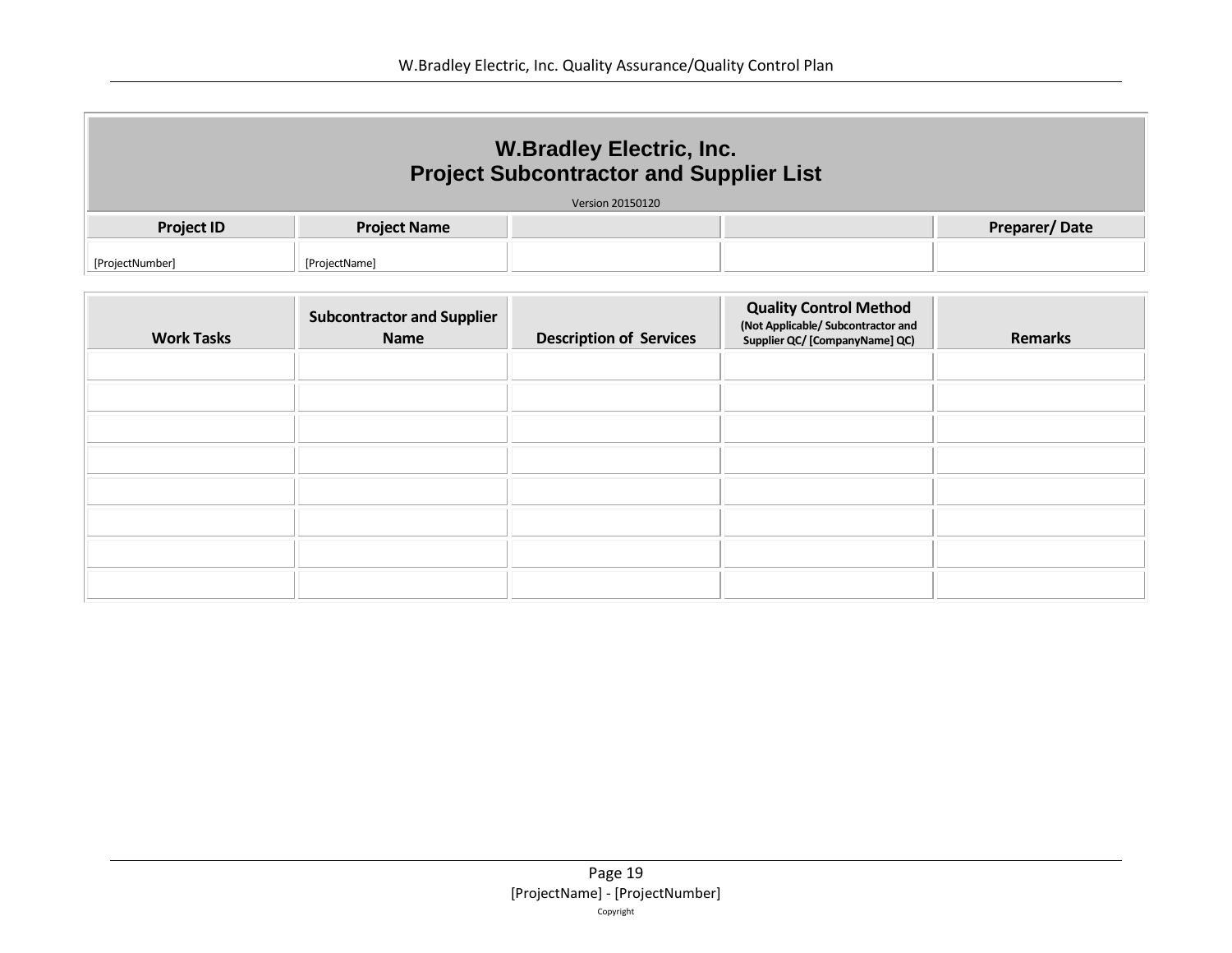| <b>W.Bradley Electric, Inc.</b><br><b>Project Subcontractor and Supplier List</b> |                     |                         |  |                      |  |  |  |
|-----------------------------------------------------------------------------------|---------------------|-------------------------|--|----------------------|--|--|--|
|                                                                                   |                     | <b>Version 20150120</b> |  |                      |  |  |  |
| <b>Project ID</b>                                                                 | <b>Project Name</b> |                         |  | <b>Preparer/Date</b> |  |  |  |
| [ProjectNumber]                                                                   | [ProjectName]       |                         |  |                      |  |  |  |

| <b>Work Tasks</b> | <b>Subcontractor and Supplier</b><br><b>Name</b> | <b>Description of Services</b> | <b>Quality Control Method</b><br>(Not Applicable/ Subcontractor and<br>Supplier QC/ [CompanyName] QC) | <b>Remarks</b> |
|-------------------|--------------------------------------------------|--------------------------------|-------------------------------------------------------------------------------------------------------|----------------|
|                   |                                                  |                                |                                                                                                       |                |
|                   |                                                  |                                |                                                                                                       |                |
|                   |                                                  |                                |                                                                                                       |                |
|                   |                                                  |                                |                                                                                                       |                |
|                   |                                                  |                                |                                                                                                       |                |
|                   |                                                  |                                |                                                                                                       |                |
|                   |                                                  |                                |                                                                                                       |                |
|                   |                                                  |                                |                                                                                                       |                |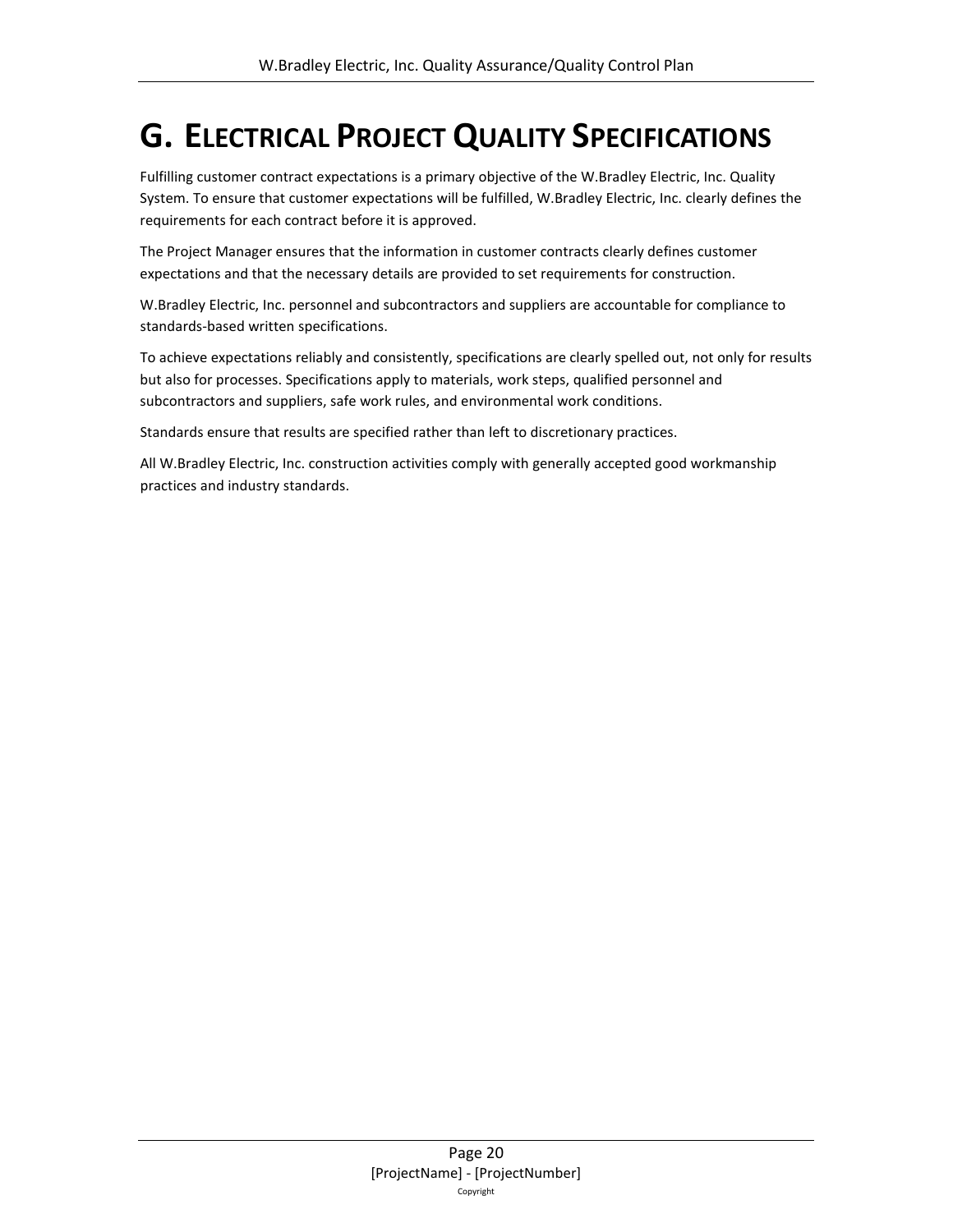# <span id="page-19-0"></span>**G. ELECTRICAL PROJECT QUALITY SPECIFICATIONS**

Fulfilling customer contract expectations is a primary objective of the W.Bradley Electric, Inc. Quality System. To ensure that customer expectations will be fulfilled, W.Bradley Electric, Inc. clearly defines the requirements for each contract before it is approved.

The Project Manager ensures that the information in customer contracts clearly defines customer expectations and that the necessary details are provided to set requirements for construction.

W.Bradley Electric, Inc. personnel and subcontractors and suppliers are accountable for compliance to standards-based written specifications.

To achieve expectations reliably and consistently, specifications are clearly spelled out, not only for results but also for processes. Specifications apply to materials, work steps, qualified personnel and subcontractors and suppliers, safe work rules, and environmental work conditions.

Standards ensure that results are specified rather than left to discretionary practices.

All W.Bradley Electric, Inc. construction activities comply with generally accepted good workmanship practices and industry standards.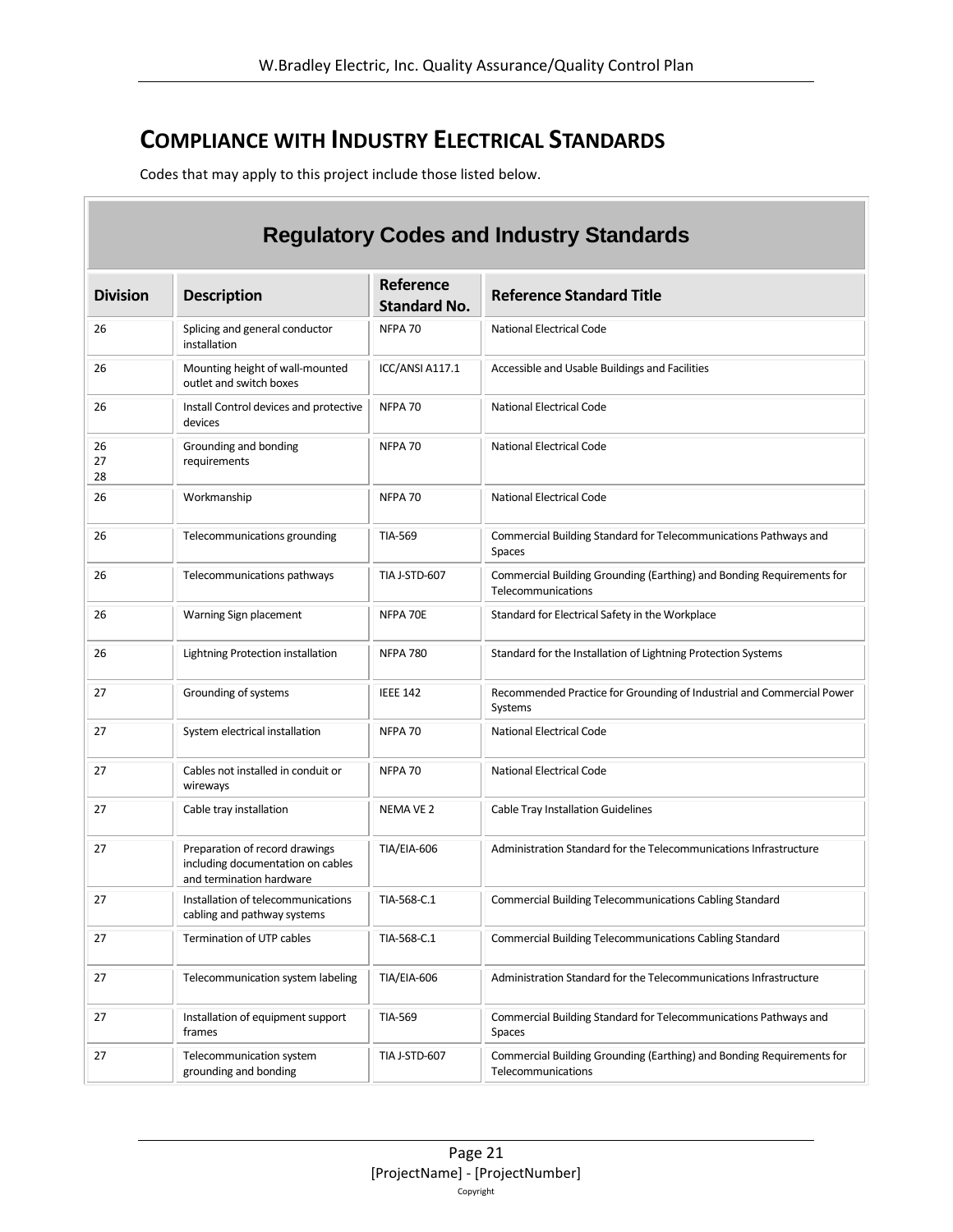### <span id="page-20-0"></span>**COMPLIANCE WITH INDUSTRY ELECTRICAL STANDARDS**

Codes that may apply to this project include those listed below.

 $\overline{\phantom{a}}$ 

| <b>Regulatory Codes and Industry Standards</b> |                                                                                                 |                                  |                                                                                             |  |  |  |  |
|------------------------------------------------|-------------------------------------------------------------------------------------------------|----------------------------------|---------------------------------------------------------------------------------------------|--|--|--|--|
| <b>Division</b>                                | <b>Description</b>                                                                              | Reference<br><b>Standard No.</b> | <b>Reference Standard Title</b>                                                             |  |  |  |  |
| 26                                             | Splicing and general conductor<br>installation                                                  | NFPA 70                          | <b>National Electrical Code</b>                                                             |  |  |  |  |
| 26                                             | Mounting height of wall-mounted<br>outlet and switch boxes                                      | ICC/ANSI A117.1                  | Accessible and Usable Buildings and Facilities                                              |  |  |  |  |
| 26                                             | Install Control devices and protective<br>devices                                               | NFPA 70                          | National Electrical Code                                                                    |  |  |  |  |
| 26<br>27<br>28                                 | Grounding and bonding<br>requirements                                                           | NFPA 70                          | National Electrical Code                                                                    |  |  |  |  |
| 26                                             | Workmanship                                                                                     | NFPA 70                          | <b>National Electrical Code</b>                                                             |  |  |  |  |
| 26                                             | Telecommunications grounding                                                                    | <b>TIA-569</b>                   | Commercial Building Standard for Telecommunications Pathways and<br><b>Spaces</b>           |  |  |  |  |
| 26                                             | Telecommunications pathways                                                                     | TIA J-STD-607                    | Commercial Building Grounding (Earthing) and Bonding Requirements for<br>Telecommunications |  |  |  |  |
| 26                                             | Warning Sign placement                                                                          | NFPA 70E                         | Standard for Electrical Safety in the Workplace                                             |  |  |  |  |
| 26                                             | Lightning Protection installation                                                               | <b>NFPA 780</b>                  | Standard for the Installation of Lightning Protection Systems                               |  |  |  |  |
| 27                                             | Grounding of systems                                                                            | <b>IEEE 142</b>                  | Recommended Practice for Grounding of Industrial and Commercial Power<br>Systems            |  |  |  |  |
| 27                                             | System electrical installation                                                                  | NFPA 70                          | <b>National Electrical Code</b>                                                             |  |  |  |  |
| 27                                             | Cables not installed in conduit or<br>wireways                                                  | NFPA 70                          | National Electrical Code                                                                    |  |  |  |  |
| 27                                             | Cable tray installation                                                                         | NEMA VE 2                        | Cable Tray Installation Guidelines                                                          |  |  |  |  |
| 27                                             | Preparation of record drawings<br>including documentation on cables<br>and termination hardware | <b>TIA/EIA-606</b>               | Administration Standard for the Telecommunications Infrastructure                           |  |  |  |  |
| 27                                             | Installation of telecommunications<br>cabling and pathway systems                               | TIA-568-C.1                      | <b>Commercial Building Telecommunications Cabling Standard</b>                              |  |  |  |  |
| 27                                             | Termination of UTP cables                                                                       | TIA-568-C.1                      | Commercial Building Telecommunications Cabling Standard                                     |  |  |  |  |
| 27                                             | Telecommunication system labeling                                                               | <b>TIA/EIA-606</b>               | Administration Standard for the Telecommunications Infrastructure                           |  |  |  |  |
| 27                                             | Installation of equipment support<br>frames                                                     | <b>TIA-569</b>                   | Commercial Building Standard for Telecommunications Pathways and<br>Spaces                  |  |  |  |  |
| 27                                             | Telecommunication system<br>grounding and bonding                                               | TIA J-STD-607                    | Commercial Building Grounding (Earthing) and Bonding Requirements for<br>Telecommunications |  |  |  |  |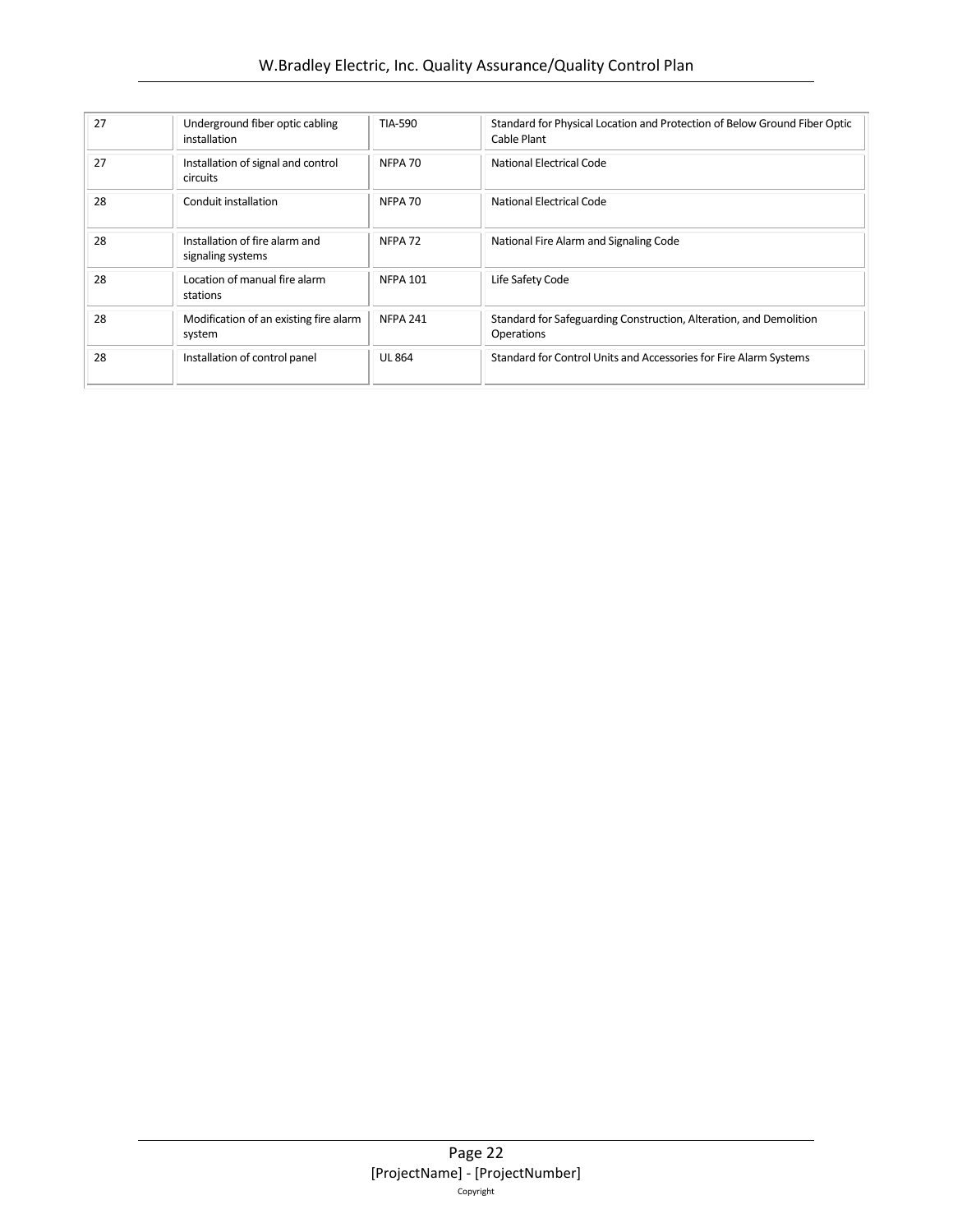| 27 | Underground fiber optic cabling<br>installation     | TIA-590            | Standard for Physical Location and Protection of Below Ground Fiber Optic<br>Cable Plant |
|----|-----------------------------------------------------|--------------------|------------------------------------------------------------------------------------------|
| 27 | Installation of signal and control<br>circuits      | NFPA 70            | <b>National Electrical Code</b>                                                          |
| 28 | Conduit installation                                | NFPA 70            | National Electrical Code                                                                 |
| 28 | Installation of fire alarm and<br>signaling systems | NFPA <sub>72</sub> | National Fire Alarm and Signaling Code                                                   |
| 28 | Location of manual fire alarm<br>stations           | <b>NFPA 101</b>    | Life Safety Code                                                                         |
| 28 | Modification of an existing fire alarm<br>system    | <b>NFPA 241</b>    | Standard for Safeguarding Construction, Alteration, and Demolition<br><b>Operations</b>  |
| 28 | Installation of control panel                       | <b>UL 864</b>      | Standard for Control Units and Accessories for Fire Alarm Systems                        |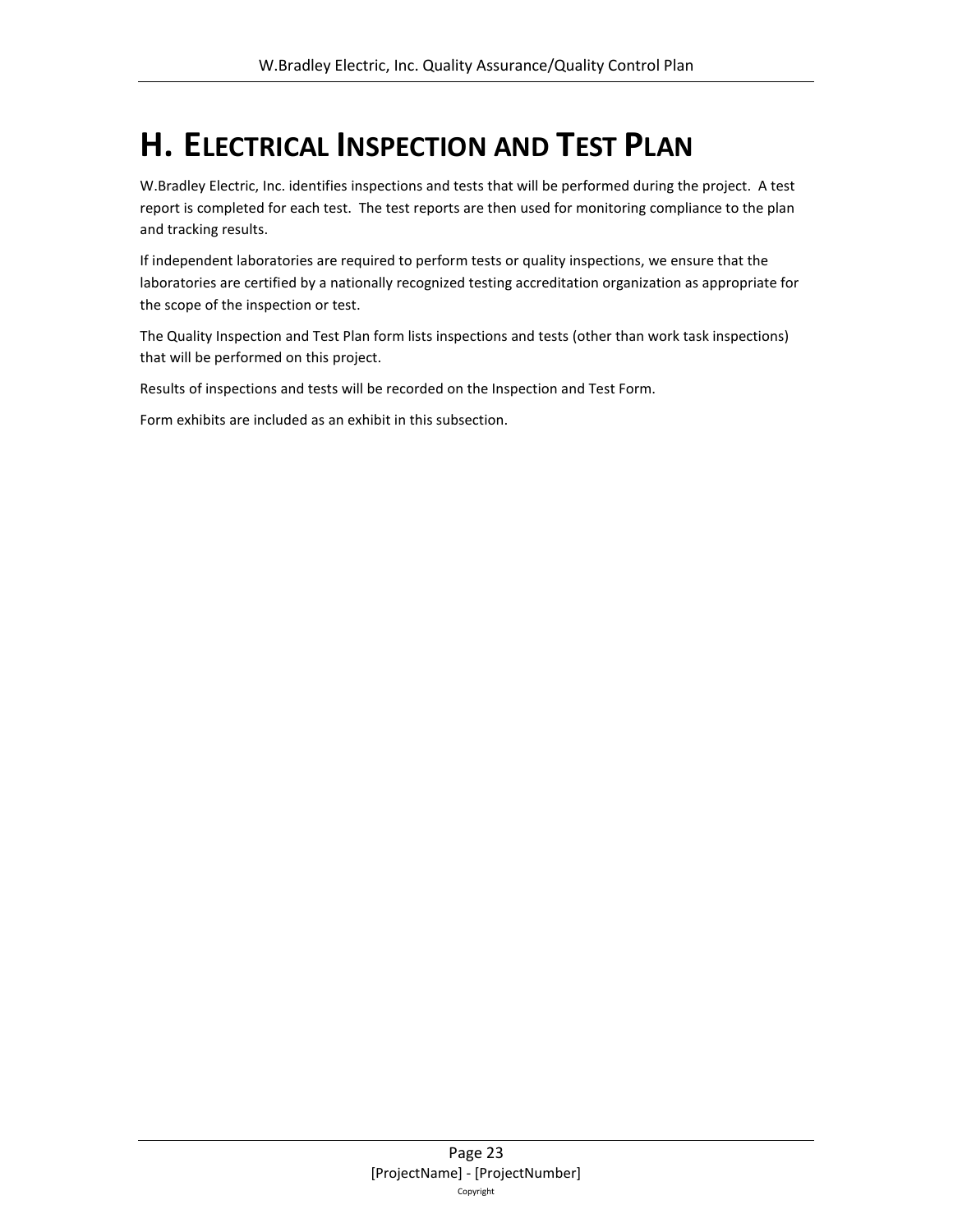# <span id="page-22-0"></span>**H. ELECTRICAL INSPECTION AND TEST PLAN**

W.Bradley Electric, Inc. identifies inspections and tests that will be performed during the project. A test report is completed for each test. The test reports are then used for monitoring compliance to the plan and tracking results.

If independent laboratories are required to perform tests or quality inspections, we ensure that the laboratories are certified by a nationally recognized testing accreditation organization as appropriate for the scope of the inspection or test.

The Quality Inspection and Test Plan form lists inspections and tests (other than work task inspections) that will be performed on this project.

Results of inspections and tests will be recorded on the Inspection and Test Form.

Form exhibits are included as an exhibit in this subsection.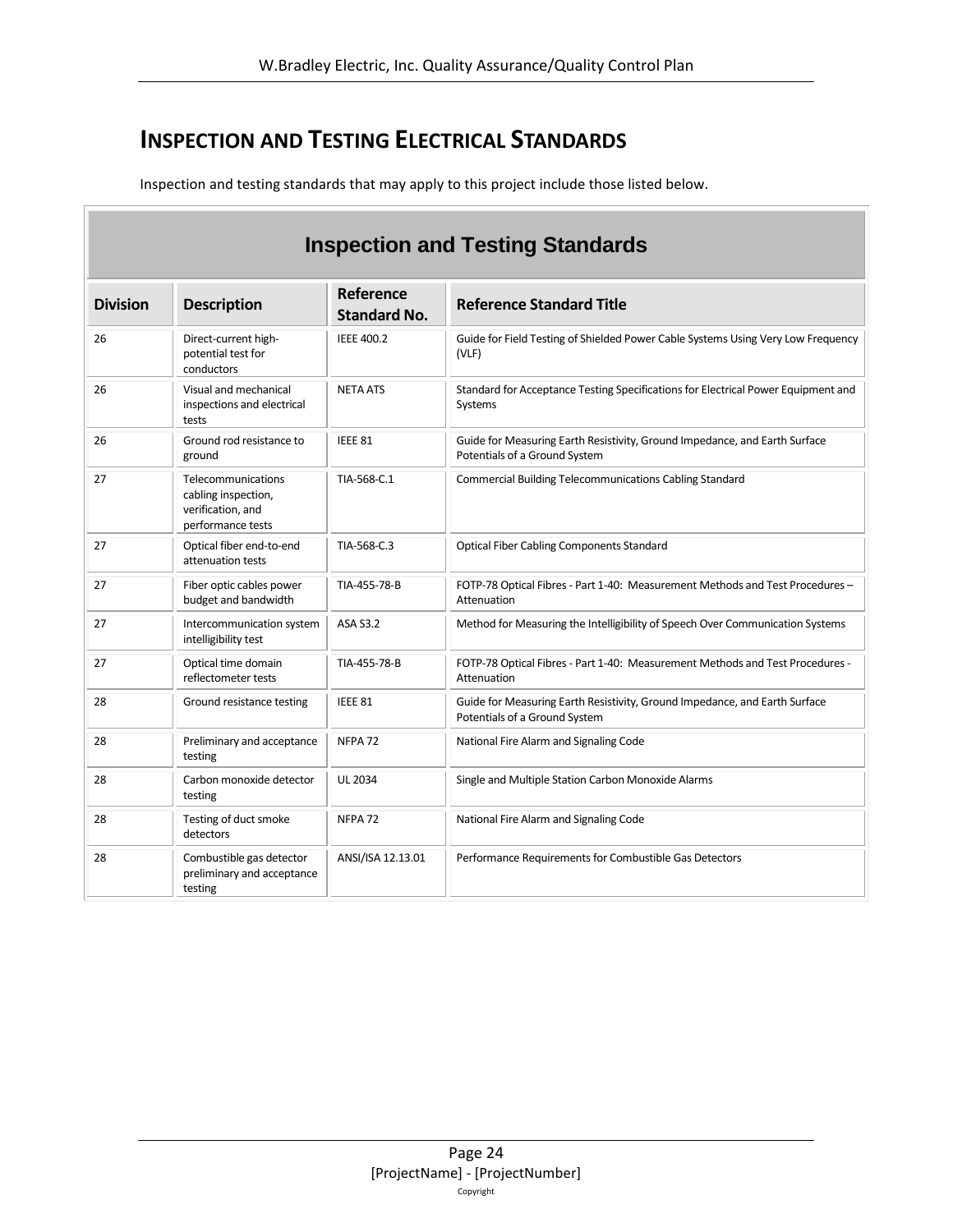### <span id="page-23-0"></span>**INSPECTION AND TESTING ELECTRICAL STANDARDS**

Б

Inspection and testing standards that may apply to this project include those listed below.

| <b>Inspection and Testing Standards</b> |                                                                                     |                                  |                                                                                                             |  |  |  |  |  |
|-----------------------------------------|-------------------------------------------------------------------------------------|----------------------------------|-------------------------------------------------------------------------------------------------------------|--|--|--|--|--|
| <b>Division</b>                         | <b>Description</b>                                                                  | Reference<br><b>Standard No.</b> | <b>Reference Standard Title</b>                                                                             |  |  |  |  |  |
| 26                                      | Direct-current high-<br>potential test for<br>conductors                            | <b>IEEE 400.2</b>                | Guide for Field Testing of Shielded Power Cable Systems Using Very Low Frequency<br>(VLF)                   |  |  |  |  |  |
| 26                                      | Visual and mechanical<br>inspections and electrical<br>tests                        | <b>NETA ATS</b>                  | Standard for Acceptance Testing Specifications for Electrical Power Equipment and<br>Systems                |  |  |  |  |  |
| 26                                      | Ground rod resistance to<br>ground                                                  | IEEE 81                          | Guide for Measuring Earth Resistivity, Ground Impedance, and Earth Surface<br>Potentials of a Ground System |  |  |  |  |  |
| 27                                      | Telecommunications<br>cabling inspection,<br>verification, and<br>performance tests | TIA-568-C.1                      | <b>Commercial Building Telecommunications Cabling Standard</b>                                              |  |  |  |  |  |
| 27                                      | Optical fiber end-to-end<br>attenuation tests                                       | TIA-568-C.3                      | <b>Optical Fiber Cabling Components Standard</b>                                                            |  |  |  |  |  |
| 27                                      | Fiber optic cables power<br>budget and bandwidth                                    | TIA-455-78-B                     | FOTP-78 Optical Fibres - Part 1-40: Measurement Methods and Test Procedures -<br>Attenuation                |  |  |  |  |  |
| 27                                      | Intercommunication system<br>intelligibility test                                   | ASA S3.2                         | Method for Measuring the Intelligibility of Speech Over Communication Systems                               |  |  |  |  |  |
| 27                                      | Optical time domain<br>reflectometer tests                                          | TIA-455-78-B                     | FOTP-78 Optical Fibres - Part 1-40: Measurement Methods and Test Procedures -<br>Attenuation                |  |  |  |  |  |
| 28                                      | Ground resistance testing                                                           | IEEE 81                          | Guide for Measuring Earth Resistivity, Ground Impedance, and Earth Surface<br>Potentials of a Ground System |  |  |  |  |  |
| 28                                      | Preliminary and acceptance<br>testing                                               | NFPA <sub>72</sub>               | National Fire Alarm and Signaling Code                                                                      |  |  |  |  |  |
| 28                                      | Carbon monoxide detector<br>testing                                                 | <b>UL 2034</b>                   | Single and Multiple Station Carbon Monoxide Alarms                                                          |  |  |  |  |  |
| 28                                      | Testing of duct smoke<br>detectors                                                  | NFPA <sub>72</sub>               | National Fire Alarm and Signaling Code                                                                      |  |  |  |  |  |
| 28                                      | Combustible gas detector<br>preliminary and acceptance<br>testing                   | ANSI/ISA 12.13.01                | Performance Requirements for Combustible Gas Detectors                                                      |  |  |  |  |  |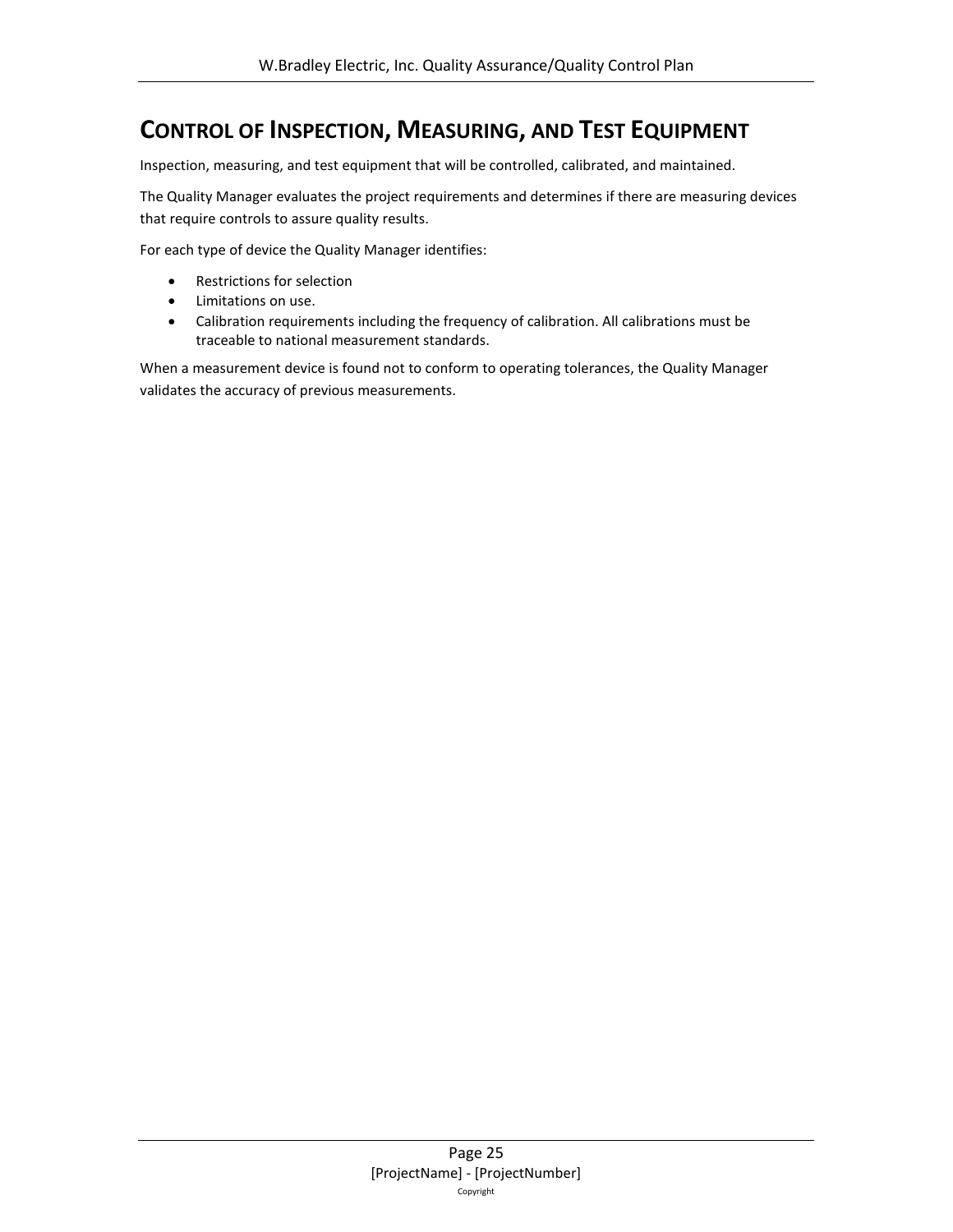### <span id="page-24-0"></span>**CONTROL OF INSPECTION, MEASURING, AND TEST EQUIPMENT**

Inspection, measuring, and test equipment that will be controlled, calibrated, and maintained.

The Quality Manager evaluates the project requirements and determines if there are measuring devices that require controls to assure quality results.

For each type of device the Quality Manager identifies:

- Restrictions for selection
- Limitations on use.
- Calibration requirements including the frequency of calibration. All calibrations must be traceable to national measurement standards.

When a measurement device is found not to conform to operating tolerances, the Quality Manager validates the accuracy of previous measurements.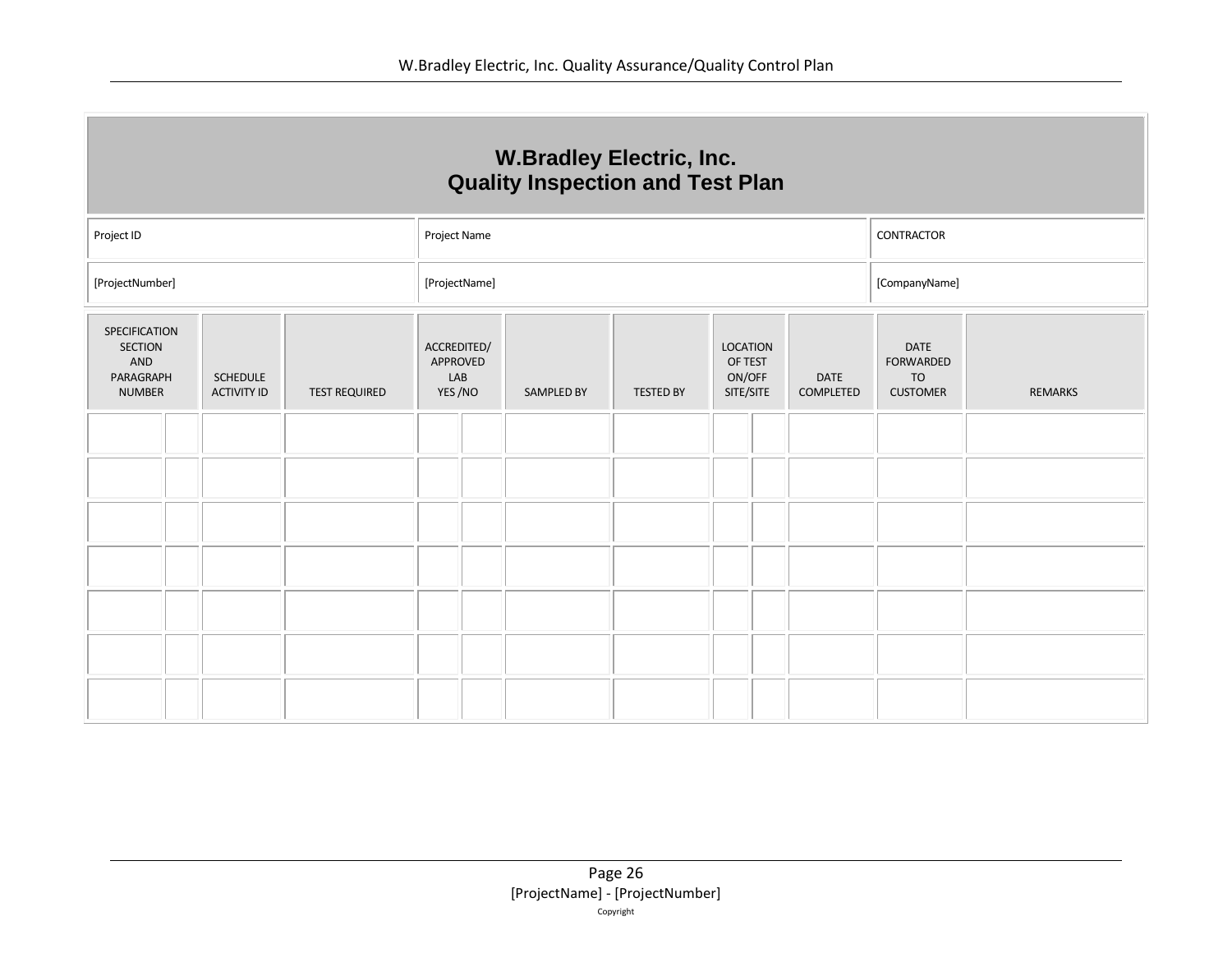| <b>W.Bradley Electric, Inc.</b><br><b>Quality Inspection and Test Plan</b> |                                       |                      |                                          |                                                                                                                                                                                           |  |  |  |  |                |
|----------------------------------------------------------------------------|---------------------------------------|----------------------|------------------------------------------|-------------------------------------------------------------------------------------------------------------------------------------------------------------------------------------------|--|--|--|--|----------------|
| Project ID                                                                 | CONTRACTOR<br>Project Name            |                      |                                          |                                                                                                                                                                                           |  |  |  |  |                |
| [ProjectNumber]                                                            | [ProjectName]<br>[CompanyName]        |                      |                                          |                                                                                                                                                                                           |  |  |  |  |                |
| SPECIFICATION<br><b>SECTION</b><br>AND<br>PARAGRAPH<br><b>NUMBER</b>       | <b>SCHEDULE</b><br><b>ACTIVITY ID</b> | <b>TEST REQUIRED</b> | ACCREDITED/<br>APPROVED<br>LAB<br>YES/NO | <b>LOCATION</b><br><b>DATE</b><br>OF TEST<br><b>FORWARDED</b><br>ON/OFF<br><b>DATE</b><br><b>TO</b><br>SITE/SITE<br><b>CUSTOMER</b><br><b>SAMPLED BY</b><br><b>TESTED BY</b><br>COMPLETED |  |  |  |  | <b>REMARKS</b> |
|                                                                            |                                       |                      |                                          |                                                                                                                                                                                           |  |  |  |  |                |
|                                                                            |                                       |                      |                                          |                                                                                                                                                                                           |  |  |  |  |                |
|                                                                            |                                       |                      |                                          |                                                                                                                                                                                           |  |  |  |  |                |
|                                                                            |                                       |                      |                                          |                                                                                                                                                                                           |  |  |  |  |                |
|                                                                            |                                       |                      |                                          |                                                                                                                                                                                           |  |  |  |  |                |
|                                                                            |                                       |                      |                                          |                                                                                                                                                                                           |  |  |  |  |                |
|                                                                            |                                       |                      |                                          |                                                                                                                                                                                           |  |  |  |  |                |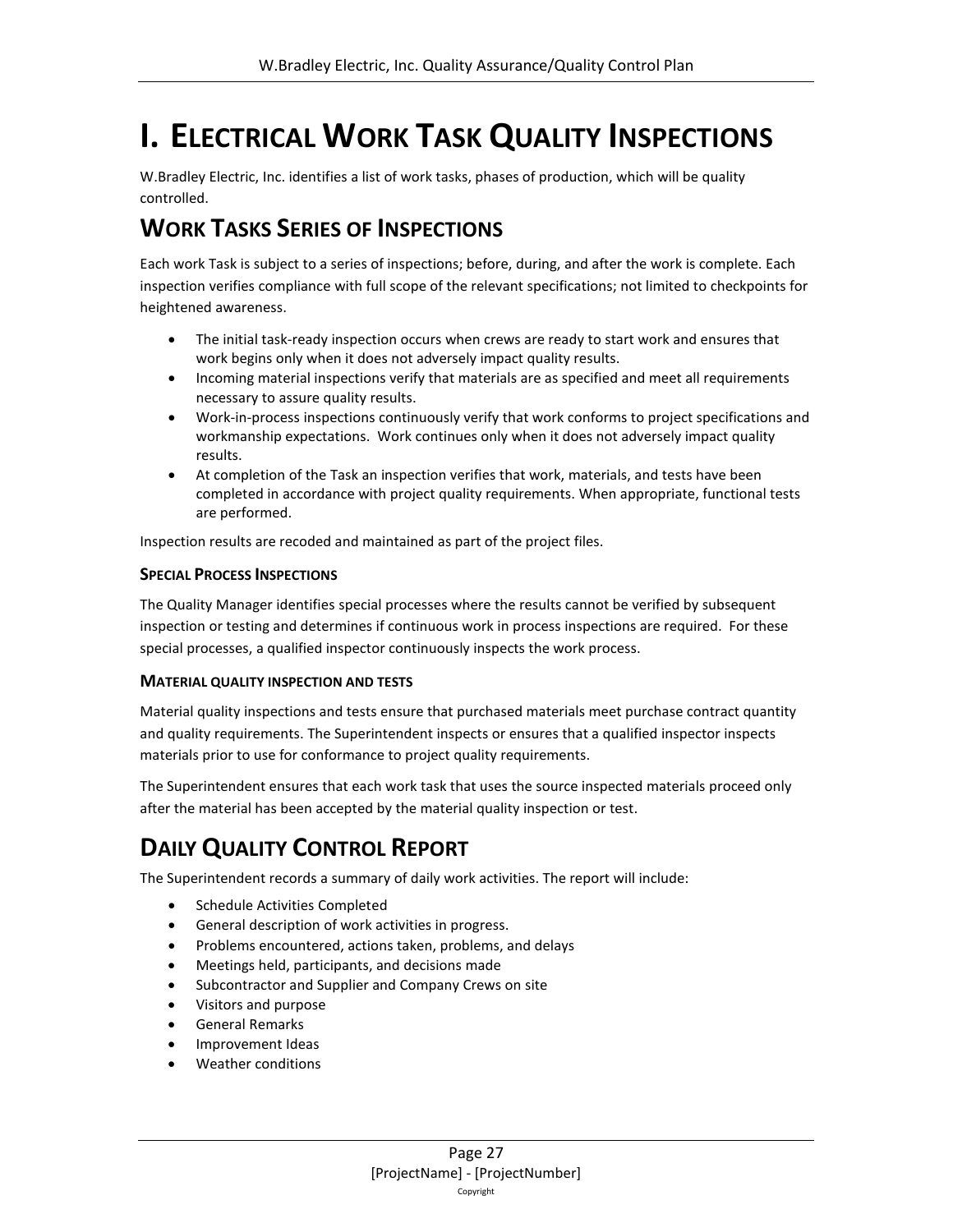# <span id="page-26-0"></span>**I. ELECTRICAL WORK TASK QUALITY INSPECTIONS**

W.Bradley Electric, Inc. identifies a list of work tasks, phases of production, which will be quality controlled.

### <span id="page-26-1"></span>**WORK TASKS SERIES OF INSPECTIONS**

Each work Task is subject to a series of inspections; before, during, and after the work is complete. Each inspection verifies compliance with full scope of the relevant specifications; not limited to checkpoints for heightened awareness.

- The initial task-ready inspection occurs when crews are ready to start work and ensures that work begins only when it does not adversely impact quality results.
- Incoming material inspections verify that materials are as specified and meet all requirements necessary to assure quality results.
- Work-in-process inspections continuously verify that work conforms to project specifications and workmanship expectations. Work continues only when it does not adversely impact quality results.
- At completion of the Task an inspection verifies that work, materials, and tests have been completed in accordance with project quality requirements. When appropriate, functional tests are performed.

Inspection results are recoded and maintained as part of the project files.

#### **SPECIAL PROCESS INSPECTIONS**

The Quality Manager identifies special processes where the results cannot be verified by subsequent inspection or testing and determines if continuous work in process inspections are required. For these special processes, a qualified inspector continuously inspects the work process.

#### **MATERIAL QUALITY INSPECTION AND TESTS**

Material quality inspections and tests ensure that purchased materials meet purchase contract quantity and quality requirements. The Superintendent inspects or ensures that a qualified inspector inspects materials prior to use for conformance to project quality requirements.

The Superintendent ensures that each work task that uses the source inspected materials proceed only after the material has been accepted by the material quality inspection or test.

### <span id="page-26-2"></span>**DAILY QUALITY CONTROL REPORT**

The Superintendent records a summary of daily work activities. The report will include:

- Schedule Activities Completed
- General description of work activities in progress.
- Problems encountered, actions taken, problems, and delays
- Meetings held, participants, and decisions made
- Subcontractor and Supplier and Company Crews on site
- Visitors and purpose
- General Remarks
- Improvement Ideas
- Weather conditions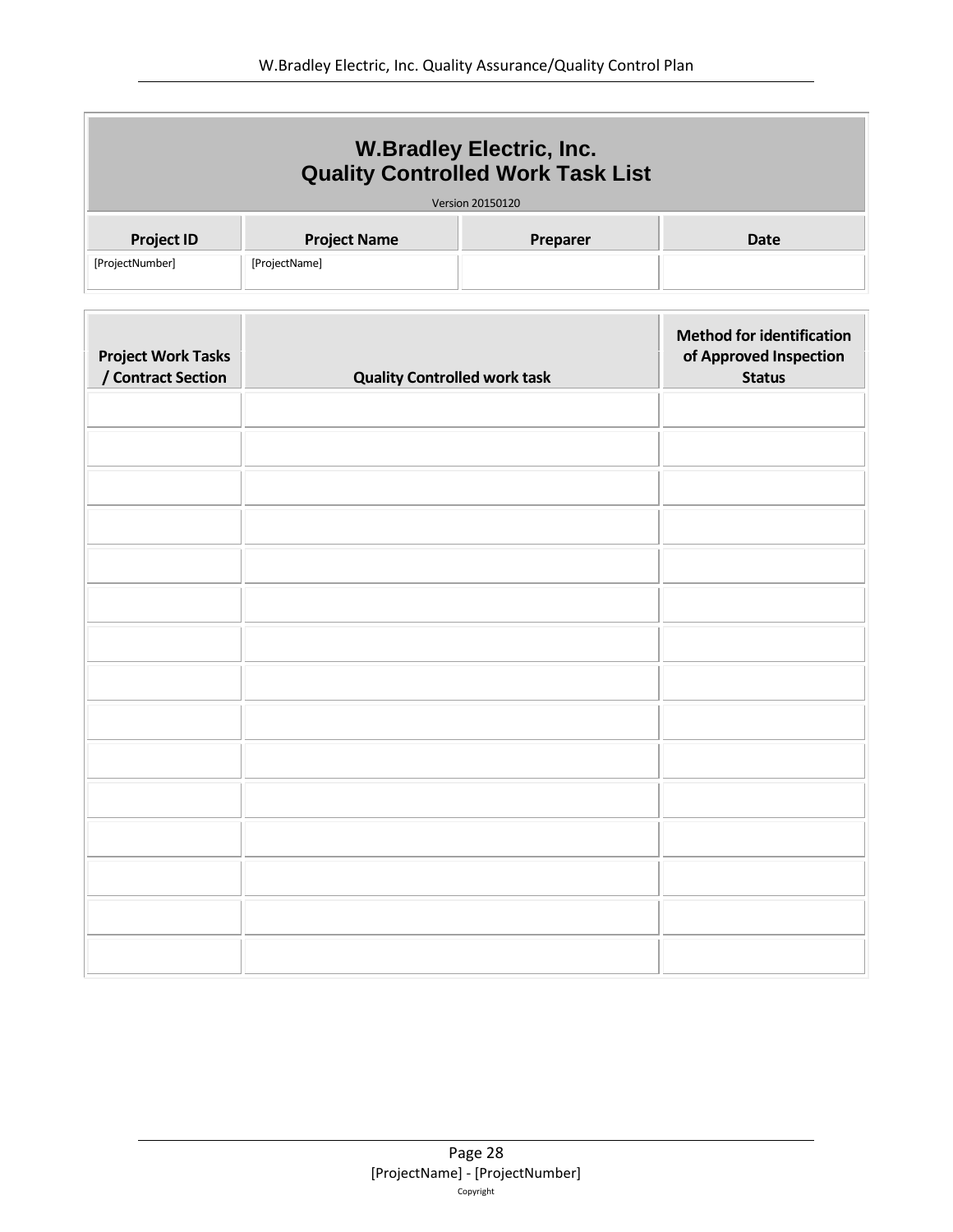| <b>W.Bradley Electric, Inc.</b><br><b>Quality Controlled Work Task List</b><br>Version 20150120 |                     |          |      |
|-------------------------------------------------------------------------------------------------|---------------------|----------|------|
| <b>Project ID</b>                                                                               | <b>Project Name</b> | Preparer | Date |
| [ProjectNumber]                                                                                 | [ProjectName]       |          |      |

| <b>Project Work Tasks</b><br>/ Contract Section | <b>Quality Controlled work task</b> | <b>Method for identification</b><br>of Approved Inspection<br><b>Status</b> |
|-------------------------------------------------|-------------------------------------|-----------------------------------------------------------------------------|
|                                                 |                                     |                                                                             |
|                                                 |                                     |                                                                             |
|                                                 |                                     |                                                                             |
|                                                 |                                     |                                                                             |
|                                                 |                                     |                                                                             |
|                                                 |                                     |                                                                             |
|                                                 |                                     |                                                                             |
|                                                 |                                     |                                                                             |
|                                                 |                                     |                                                                             |
|                                                 |                                     |                                                                             |
|                                                 |                                     |                                                                             |
|                                                 |                                     |                                                                             |
|                                                 |                                     |                                                                             |
|                                                 |                                     |                                                                             |
|                                                 |                                     |                                                                             |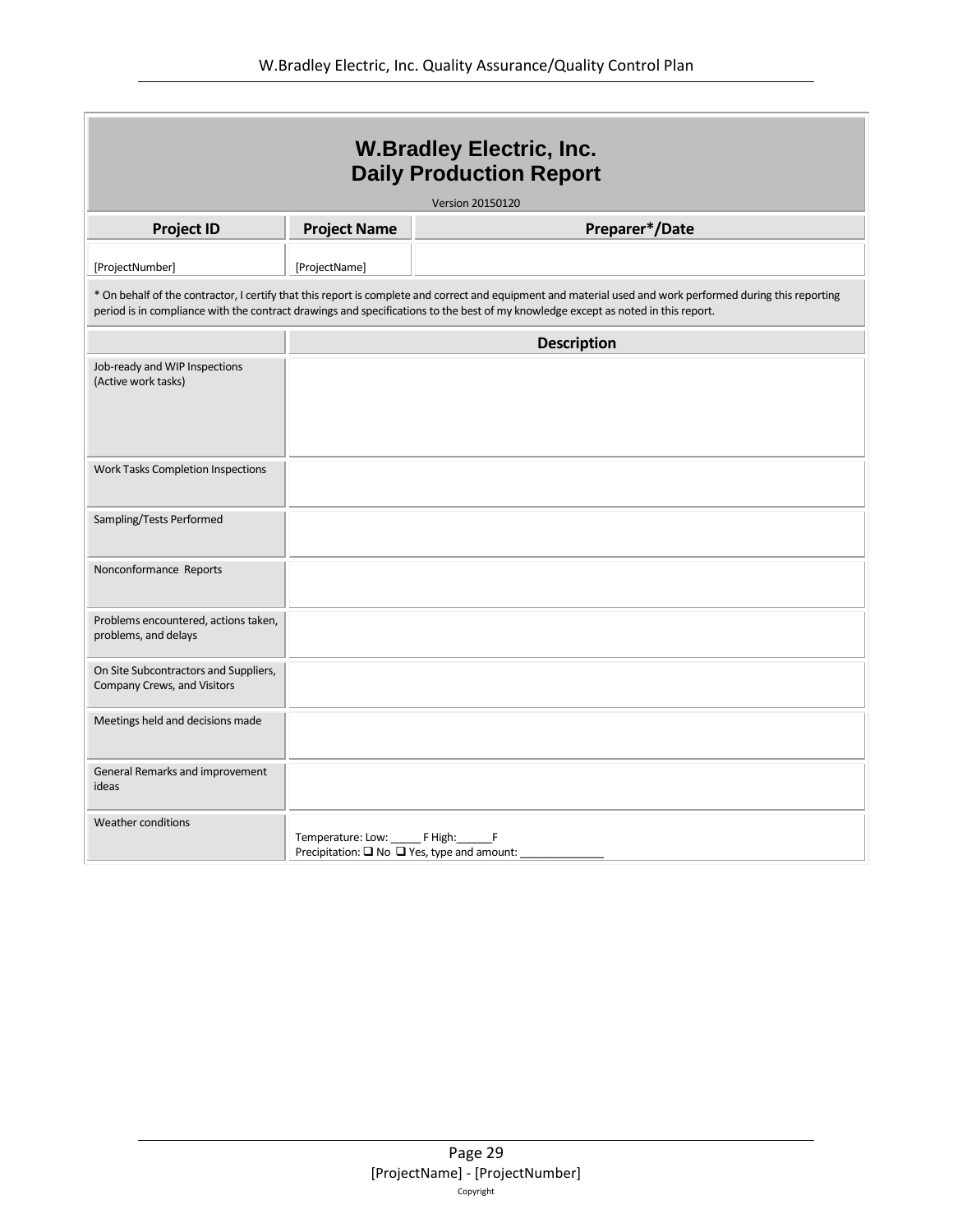| <b>W.Bradley Electric, Inc.</b><br><b>Daily Production Report</b>                                                                                                                                                                                                                               |                                                                                     |                    |  |
|-------------------------------------------------------------------------------------------------------------------------------------------------------------------------------------------------------------------------------------------------------------------------------------------------|-------------------------------------------------------------------------------------|--------------------|--|
|                                                                                                                                                                                                                                                                                                 |                                                                                     | Version 20150120   |  |
| <b>Project ID</b>                                                                                                                                                                                                                                                                               | <b>Project Name</b>                                                                 | Preparer*/Date     |  |
| [ProjectNumber]                                                                                                                                                                                                                                                                                 | [ProjectName]                                                                       |                    |  |
| * On behalf of the contractor, I certify that this report is complete and correct and equipment and material used and work performed during this reporting<br>period is in compliance with the contract drawings and specifications to the best of my knowledge except as noted in this report. |                                                                                     |                    |  |
|                                                                                                                                                                                                                                                                                                 |                                                                                     | <b>Description</b> |  |
| Job-ready and WIP Inspections<br>(Active work tasks)                                                                                                                                                                                                                                            |                                                                                     |                    |  |
| Work Tasks Completion Inspections                                                                                                                                                                                                                                                               |                                                                                     |                    |  |
| Sampling/Tests Performed                                                                                                                                                                                                                                                                        |                                                                                     |                    |  |
| Nonconformance Reports                                                                                                                                                                                                                                                                          |                                                                                     |                    |  |
| Problems encountered, actions taken,<br>problems, and delays                                                                                                                                                                                                                                    |                                                                                     |                    |  |
| On Site Subcontractors and Suppliers,<br>Company Crews, and Visitors                                                                                                                                                                                                                            |                                                                                     |                    |  |
| Meetings held and decisions made                                                                                                                                                                                                                                                                |                                                                                     |                    |  |
| General Remarks and improvement<br>ideas                                                                                                                                                                                                                                                        |                                                                                     |                    |  |
| <b>Weather conditions</b>                                                                                                                                                                                                                                                                       | Temperature: Low: FHigh: F<br>Precipitation: $\Box$ No $\Box$ Yes, type and amount: |                    |  |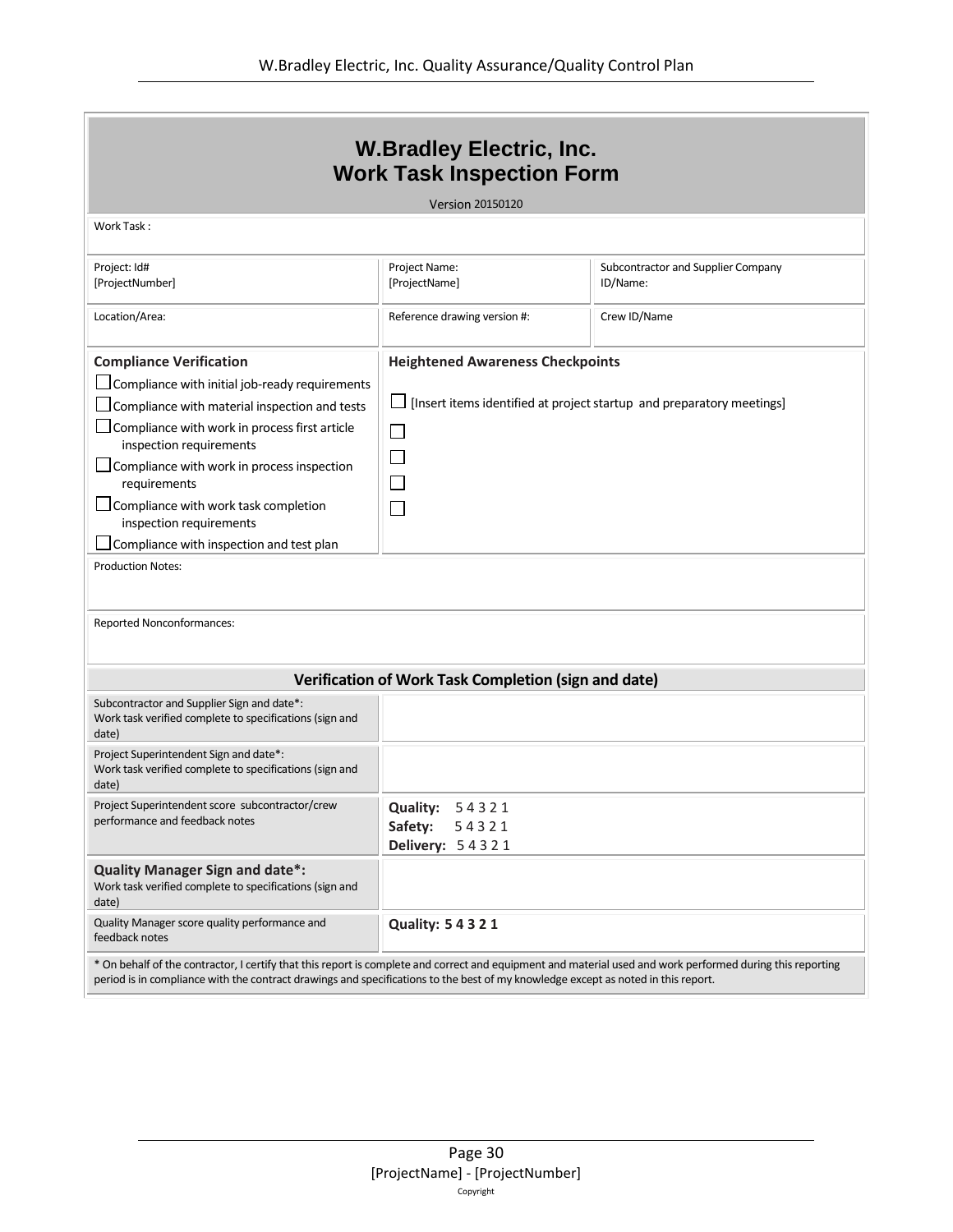| <b>W.Bradley Electric, Inc.</b><br><b>Work Task Inspection Form</b>                                                                                                                                                                                                                                                                                                                                                           |                                                                             |                                                                       |  |
|-------------------------------------------------------------------------------------------------------------------------------------------------------------------------------------------------------------------------------------------------------------------------------------------------------------------------------------------------------------------------------------------------------------------------------|-----------------------------------------------------------------------------|-----------------------------------------------------------------------|--|
|                                                                                                                                                                                                                                                                                                                                                                                                                               | <b>Version 20150120</b>                                                     |                                                                       |  |
| Work Task:                                                                                                                                                                                                                                                                                                                                                                                                                    |                                                                             |                                                                       |  |
| Project: Id#<br>[ProjectNumber]                                                                                                                                                                                                                                                                                                                                                                                               | Project Name:<br>[ProjectName]                                              | Subcontractor and Supplier Company<br>ID/Name:                        |  |
| Location/Area:                                                                                                                                                                                                                                                                                                                                                                                                                | Reference drawing version #:                                                | Crew ID/Name                                                          |  |
| <b>Compliance Verification</b><br>$\Box$ Compliance with initial job-ready requirements<br>Compliance with material inspection and tests<br>Compliance with work in process first article<br>inspection requirements<br>Compliance with work in process inspection<br>requirements<br>Compliance with work task completion<br>inspection requirements<br>Compliance with inspection and test plan<br><b>Production Notes:</b> | <b>Heightened Awareness Checkpoints</b><br>$\mathbf{I}$<br>$\sim$<br>$\sim$ | [Insert items identified at project startup and preparatory meetings] |  |
| <b>Reported Nonconformances:</b>                                                                                                                                                                                                                                                                                                                                                                                              |                                                                             |                                                                       |  |
|                                                                                                                                                                                                                                                                                                                                                                                                                               | Verification of Work Task Completion (sign and date)                        |                                                                       |  |
| Subcontractor and Supplier Sign and date*:<br>Work task verified complete to specifications (sign and<br>date)                                                                                                                                                                                                                                                                                                                |                                                                             |                                                                       |  |
| Project Superintendent Sign and date*:<br>Work task verified complete to specifications (sign and<br>date)                                                                                                                                                                                                                                                                                                                    |                                                                             |                                                                       |  |
| Project Superintendent score subcontractor/crew<br>performance and feedback notes                                                                                                                                                                                                                                                                                                                                             | <b>Quality:</b><br>54321<br>Safety:<br>54321<br>Delivery: 54321             |                                                                       |  |
| <b>Quality Manager Sign and date*:</b><br>Work task verified complete to specifications (sign and<br>date)                                                                                                                                                                                                                                                                                                                    |                                                                             |                                                                       |  |
| Quality Manager score quality performance and<br>feedback notes                                                                                                                                                                                                                                                                                                                                                               | <b>Quality: 5 4 3 2 1</b>                                                   |                                                                       |  |
| * On behalf of the contractor, I certify that this report is complete and correct and equipment and material used and work performed during this reporting<br>period is in compliance with the contract drawings and specifications to the best of my knowledge except as noted in this report.                                                                                                                               |                                                                             |                                                                       |  |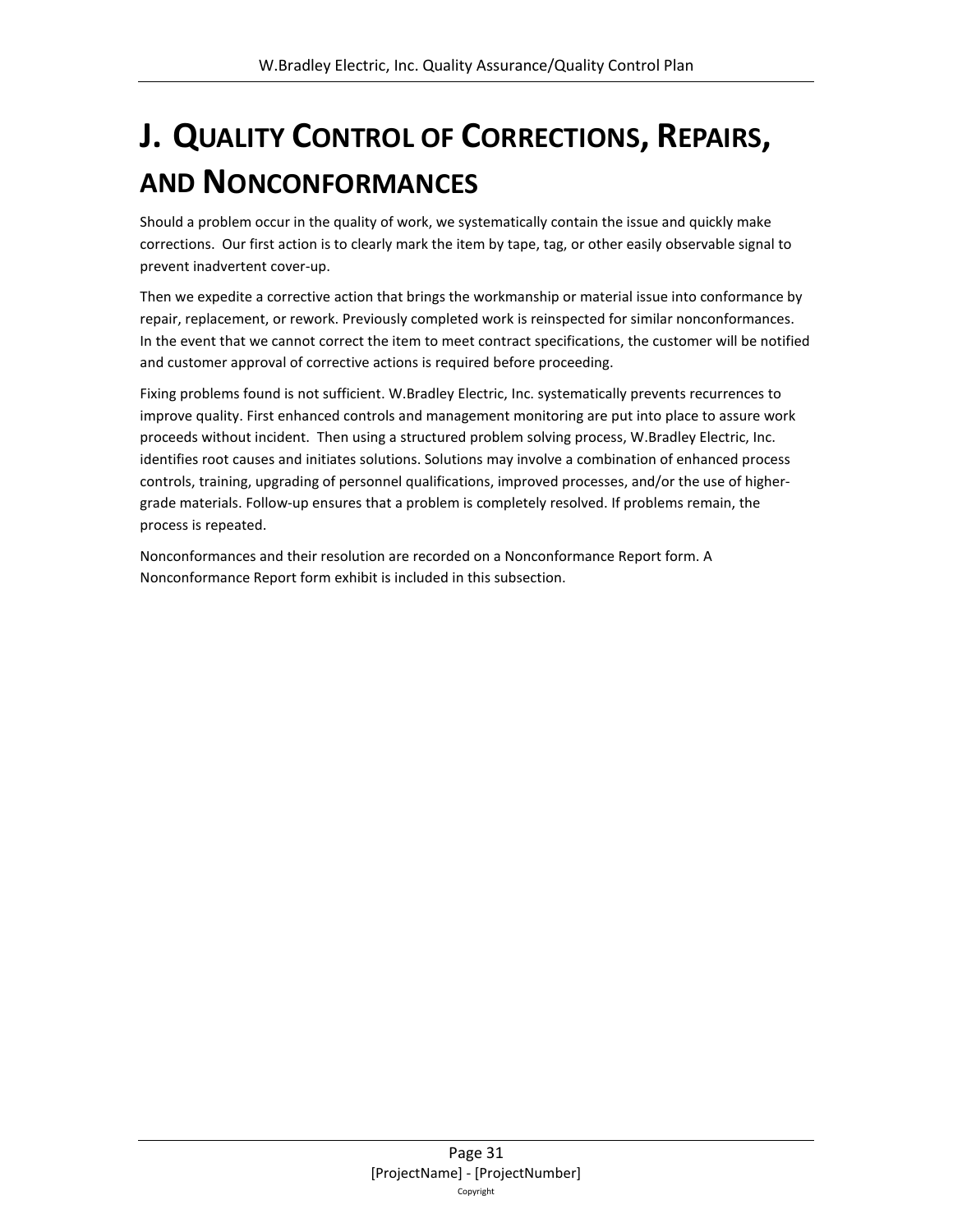# <span id="page-30-0"></span>**J. QUALITY CONTROL OF CORRECTIONS, REPAIRS, AND NONCONFORMANCES**

Should a problem occur in the quality of work, we systematically contain the issue and quickly make corrections. Our first action is to clearly mark the item by tape, tag, or other easily observable signal to prevent inadvertent cover-up.

Then we expedite a corrective action that brings the workmanship or material issue into conformance by repair, replacement, or rework. Previously completed work is reinspected for similar nonconformances. In the event that we cannot correct the item to meet contract specifications, the customer will be notified and customer approval of corrective actions is required before proceeding.

Fixing problems found is not sufficient. W.Bradley Electric, Inc. systematically prevents recurrences to improve quality. First enhanced controls and management monitoring are put into place to assure work proceeds without incident. Then using a structured problem solving process, W.Bradley Electric, Inc. identifies root causes and initiates solutions. Solutions may involve a combination of enhanced process controls, training, upgrading of personnel qualifications, improved processes, and/or the use of highergrade materials. Follow-up ensures that a problem is completely resolved. If problems remain, the process is repeated.

Nonconformances and their resolution are recorded on a Nonconformance Report form. A Nonconformance Report form exhibit is included in this subsection.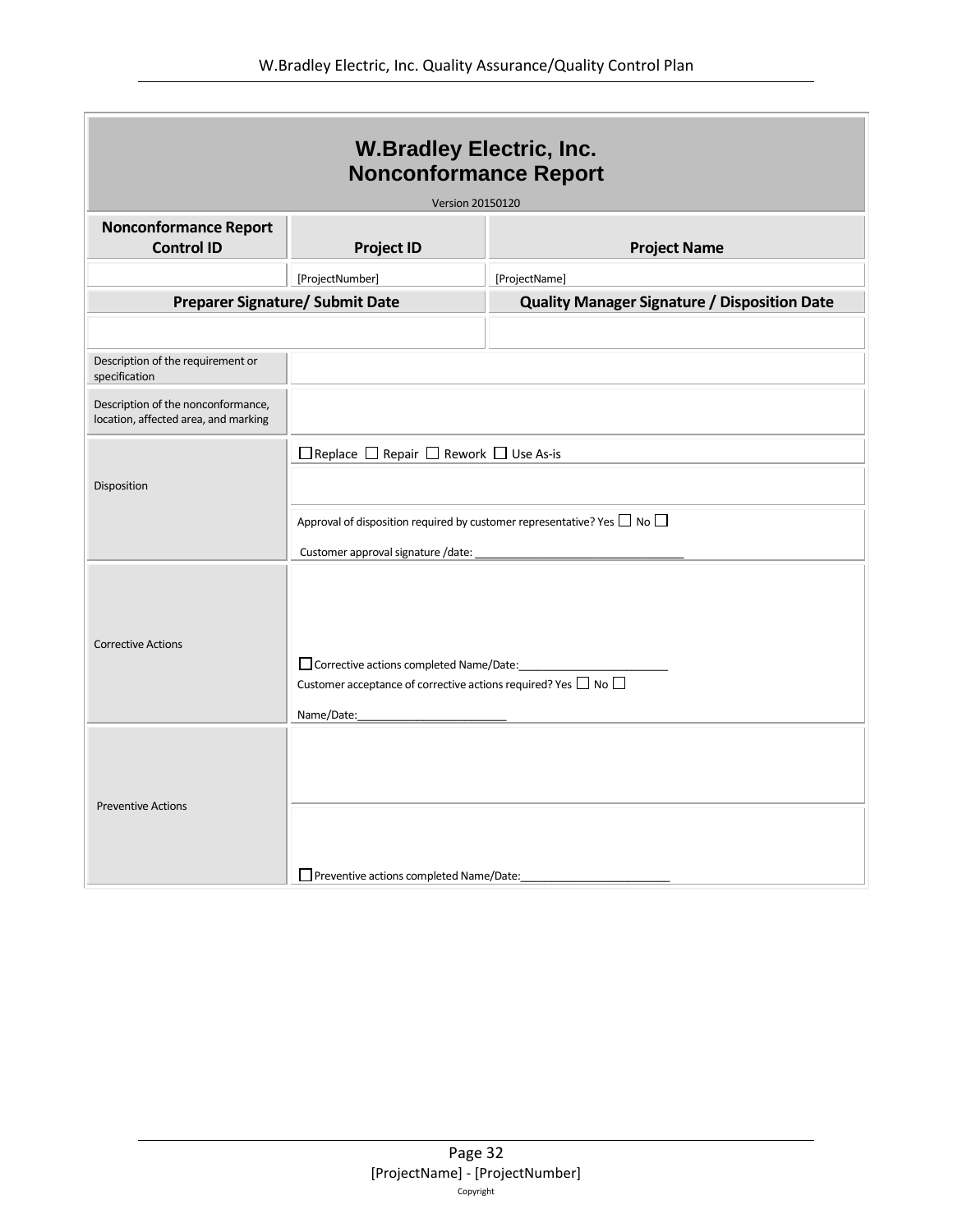| <b>W.Bradley Electric, Inc.</b><br><b>Nonconformance Report</b>            |                                                                                                                                                                                        |                                                     |  |
|----------------------------------------------------------------------------|----------------------------------------------------------------------------------------------------------------------------------------------------------------------------------------|-----------------------------------------------------|--|
|                                                                            | <b>Version 20150120</b>                                                                                                                                                                |                                                     |  |
| <b>Nonconformance Report</b><br><b>Control ID</b>                          | <b>Project ID</b>                                                                                                                                                                      | <b>Project Name</b>                                 |  |
|                                                                            | [ProjectNumber]                                                                                                                                                                        | [ProjectName]                                       |  |
| <b>Preparer Signature/ Submit Date</b>                                     |                                                                                                                                                                                        | <b>Quality Manager Signature / Disposition Date</b> |  |
|                                                                            |                                                                                                                                                                                        |                                                     |  |
| Description of the requirement or<br>specification                         |                                                                                                                                                                                        |                                                     |  |
| Description of the nonconformance,<br>location, affected area, and marking |                                                                                                                                                                                        |                                                     |  |
| Disposition                                                                | $\Box$ Replace $\Box$ Repair $\Box$ Rework $\Box$ Use As-is<br>Approval of disposition required by customer representative? Yes $\Box$ No $\Box$<br>Customer approval signature /date: |                                                     |  |
| <b>Corrective Actions</b>                                                  | Corrective actions completed Name/Date:<br>Customer acceptance of corrective actions required? Yes $\Box$ No $\Box$<br>Name/Date:                                                      |                                                     |  |
| <b>Preventive Actions</b>                                                  | Preventive actions completed Name/Date:                                                                                                                                                |                                                     |  |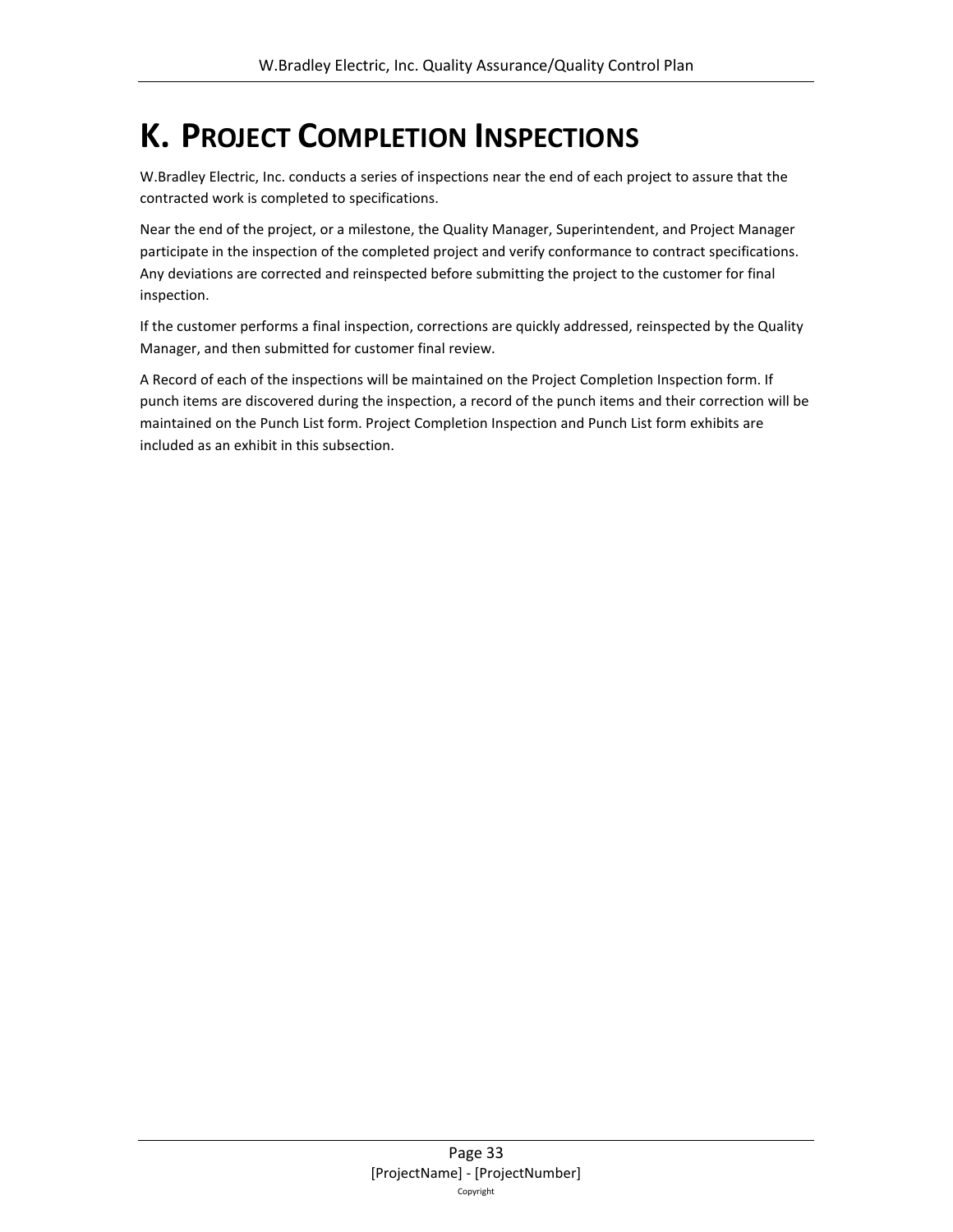## <span id="page-32-0"></span>**K. PROJECT COMPLETION INSPECTIONS**

W.Bradley Electric, Inc. conducts a series of inspections near the end of each project to assure that the contracted work is completed to specifications.

Near the end of the project, or a milestone, the Quality Manager, Superintendent, and Project Manager participate in the inspection of the completed project and verify conformance to contract specifications. Any deviations are corrected and reinspected before submitting the project to the customer for final inspection.

If the customer performs a final inspection, corrections are quickly addressed, reinspected by the Quality Manager, and then submitted for customer final review.

A Record of each of the inspections will be maintained on the Project Completion Inspection form. If punch items are discovered during the inspection, a record of the punch items and their correction will be maintained on the Punch List form. Project Completion Inspection and Punch List form exhibits are included as an exhibit in this subsection.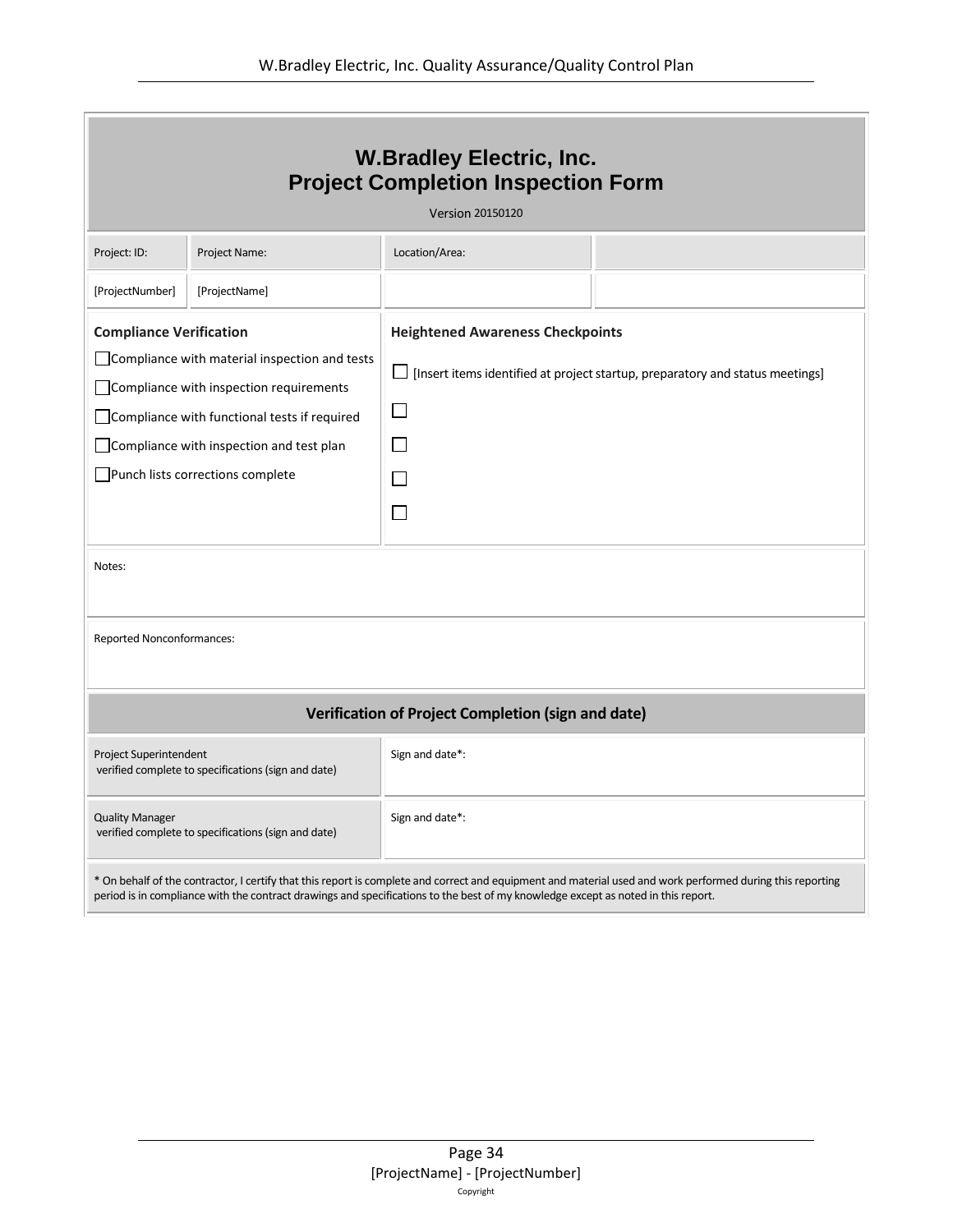| <b>W.Bradley Electric, Inc.</b><br><b>Project Completion Inspection Form</b><br><b>Version 20150120</b>                                                                                                                                                                                         |               |                                                                                                                                                     |  |  |
|-------------------------------------------------------------------------------------------------------------------------------------------------------------------------------------------------------------------------------------------------------------------------------------------------|---------------|-----------------------------------------------------------------------------------------------------------------------------------------------------|--|--|
| Project: ID:                                                                                                                                                                                                                                                                                    | Project Name: | Location/Area:                                                                                                                                      |  |  |
| [ProjectNumber]                                                                                                                                                                                                                                                                                 | [ProjectName] |                                                                                                                                                     |  |  |
| <b>Compliance Verification</b><br>□ Compliance with material inspection and tests<br>Compliance with inspection requirements<br>Compliance with functional tests if required<br>Compliance with inspection and test plan<br>Punch lists corrections complete<br>Notes:                          |               | <b>Heightened Awareness Checkpoints</b><br>$\Box$ [Insert items identified at project startup, preparatory and status meetings]<br>$\Box$<br>$\Box$ |  |  |
| Reported Nonconformances:                                                                                                                                                                                                                                                                       |               |                                                                                                                                                     |  |  |
| Verification of Project Completion (sign and date)                                                                                                                                                                                                                                              |               |                                                                                                                                                     |  |  |
| Project Superintendent<br>verified complete to specifications (sign and date)                                                                                                                                                                                                                   |               | Sign and date*:                                                                                                                                     |  |  |
| <b>Quality Manager</b><br>verified complete to specifications (sign and date)                                                                                                                                                                                                                   |               | Sign and date*:                                                                                                                                     |  |  |
| * On behalf of the contractor, I certify that this report is complete and correct and equipment and material used and work performed during this reporting<br>period is in compliance with the contract drawings and specifications to the best of my knowledge except as noted in this report. |               |                                                                                                                                                     |  |  |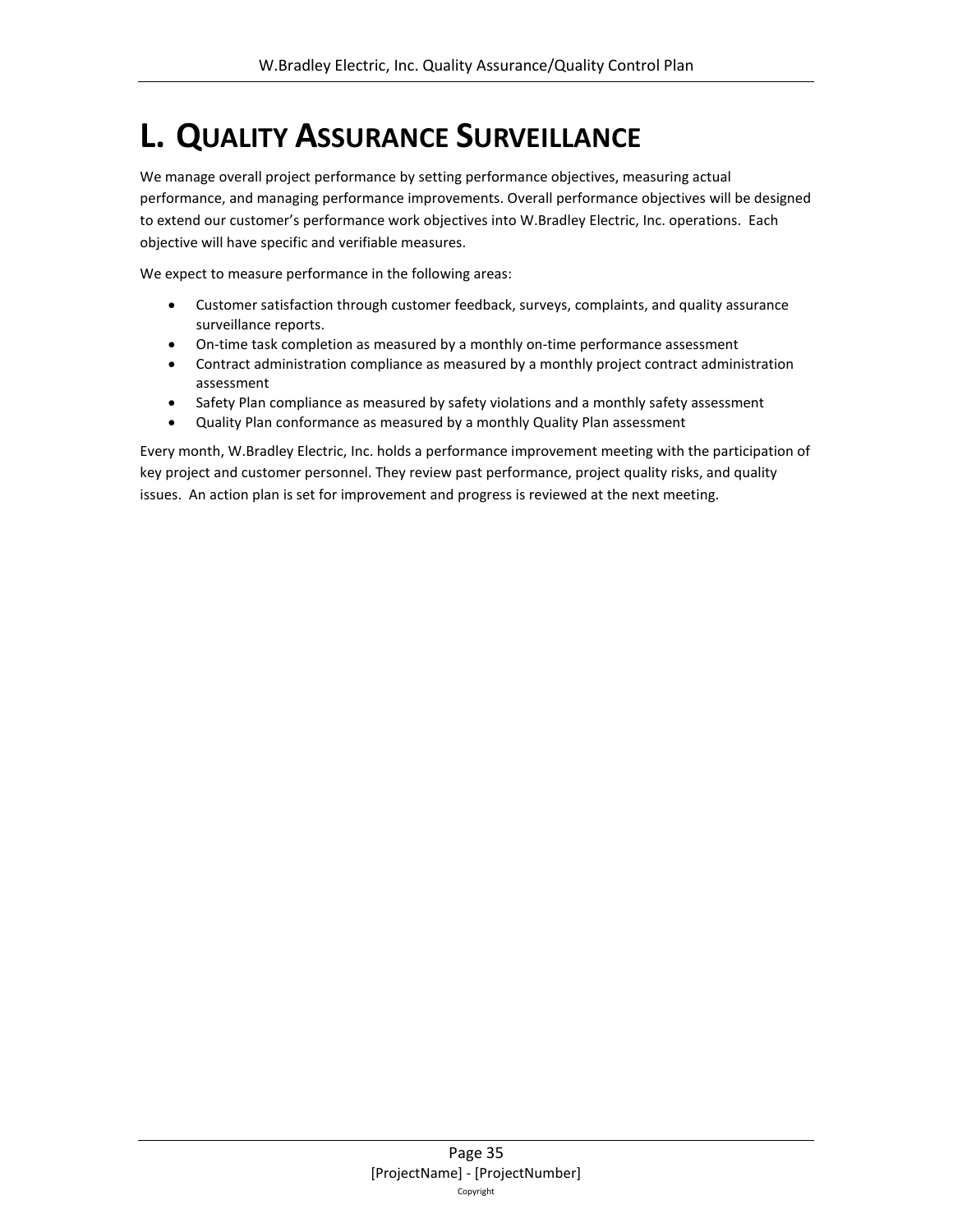# <span id="page-34-0"></span>**L. QUALITY ASSURANCE SURVEILLANCE**

We manage overall project performance by setting performance objectives, measuring actual performance, and managing performance improvements. Overall performance objectives will be designed to extend our customer's performance work objectives into W.Bradley Electric, Inc. operations. Each objective will have specific and verifiable measures.

We expect to measure performance in the following areas:

- Customer satisfaction through customer feedback, surveys, complaints, and quality assurance surveillance reports.
- On-time task completion as measured by a monthly on-time performance assessment
- Contract administration compliance as measured by a monthly project contract administration assessment
- Safety Plan compliance as measured by safety violations and a monthly safety assessment
- Quality Plan conformance as measured by a monthly Quality Plan assessment

Every month, W.Bradley Electric, Inc. holds a performance improvement meeting with the participation of key project and customer personnel. They review past performance, project quality risks, and quality issues. An action plan is set for improvement and progress is reviewed at the next meeting.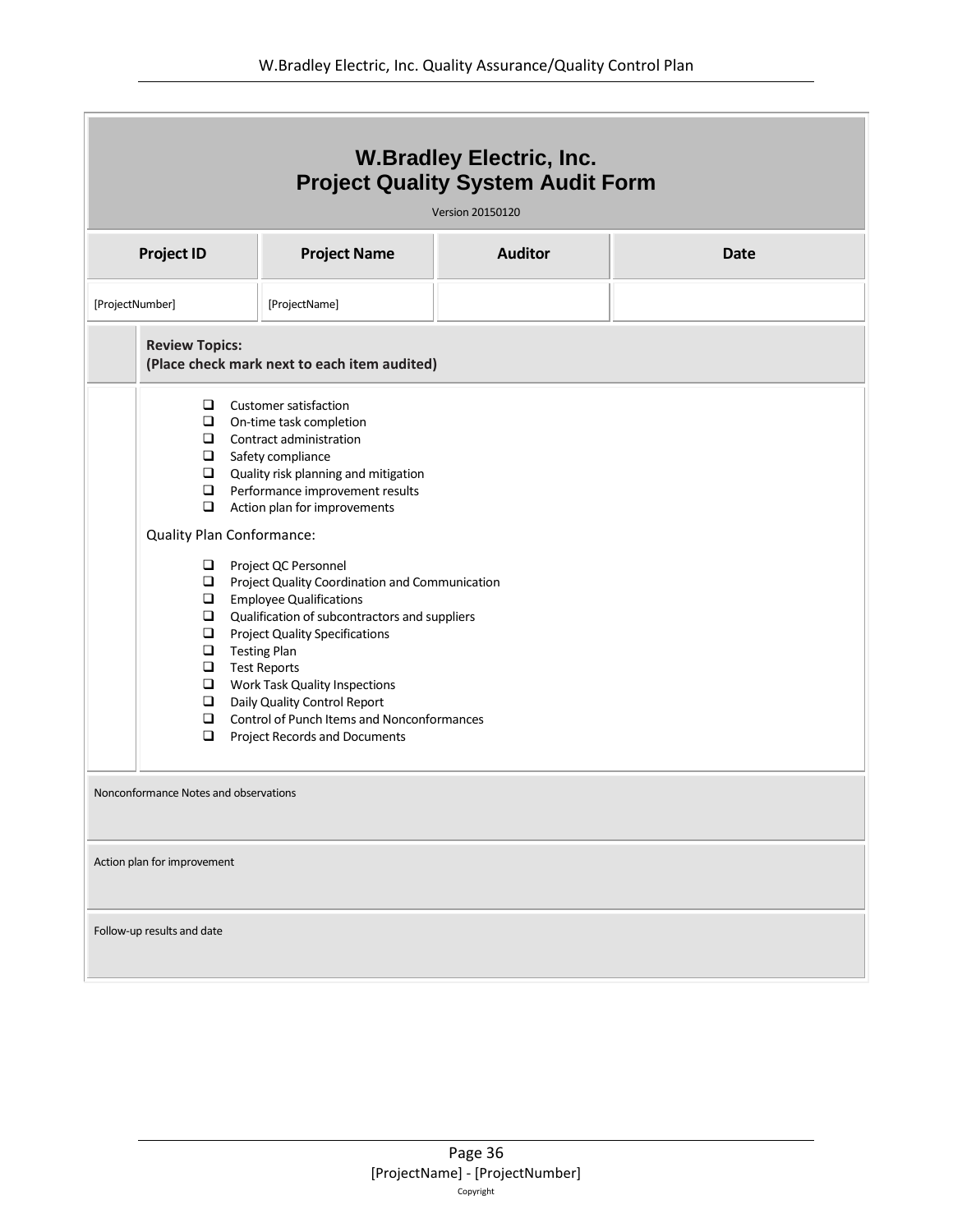| <b>W.Bradley Electric, Inc.</b><br><b>Project Quality System Audit Form</b><br><b>Version 20150120</b>                                                                                                                                                                                                                                                                                                                                                                                                                       |                                                                                                                                                                                                                    |                |             |
|------------------------------------------------------------------------------------------------------------------------------------------------------------------------------------------------------------------------------------------------------------------------------------------------------------------------------------------------------------------------------------------------------------------------------------------------------------------------------------------------------------------------------|--------------------------------------------------------------------------------------------------------------------------------------------------------------------------------------------------------------------|----------------|-------------|
| <b>Project ID</b>                                                                                                                                                                                                                                                                                                                                                                                                                                                                                                            | <b>Project Name</b>                                                                                                                                                                                                | <b>Auditor</b> | <b>Date</b> |
| [ProjectNumber]                                                                                                                                                                                                                                                                                                                                                                                                                                                                                                              | [ProjectName]                                                                                                                                                                                                      |                |             |
| <b>Review Topics:</b><br>(Place check mark next to each item audited)                                                                                                                                                                                                                                                                                                                                                                                                                                                        |                                                                                                                                                                                                                    |                |             |
| $\Box$<br>$\Box$<br>$\Box$<br>$\Box$<br>$\Box$<br>$\Box$<br>$\Box$<br><b>Quality Plan Conformance:</b>                                                                                                                                                                                                                                                                                                                                                                                                                       | <b>Customer satisfaction</b><br>On-time task completion<br>Contract administration<br>Safety compliance<br>Quality risk planning and mitigation<br>Performance improvement results<br>Action plan for improvements |                |             |
| $\Box$<br>Project QC Personnel<br>$\Box$<br>Project Quality Coordination and Communication<br><b>Employee Qualifications</b><br>$\Box$<br>$\Box$<br>Qualification of subcontractors and suppliers<br>$\Box$<br><b>Project Quality Specifications</b><br>$\Box$<br><b>Testing Plan</b><br>$\Box$<br><b>Test Reports</b><br>$\Box$<br>Work Task Quality Inspections<br>$\Box$<br>Daily Quality Control Report<br>$\Box$<br><b>Control of Punch Items and Nonconformances</b><br>$\Box$<br><b>Project Records and Documents</b> |                                                                                                                                                                                                                    |                |             |
| Nonconformance Notes and observations                                                                                                                                                                                                                                                                                                                                                                                                                                                                                        |                                                                                                                                                                                                                    |                |             |
| Action plan for improvement                                                                                                                                                                                                                                                                                                                                                                                                                                                                                                  |                                                                                                                                                                                                                    |                |             |
| Follow-up results and date                                                                                                                                                                                                                                                                                                                                                                                                                                                                                                   |                                                                                                                                                                                                                    |                |             |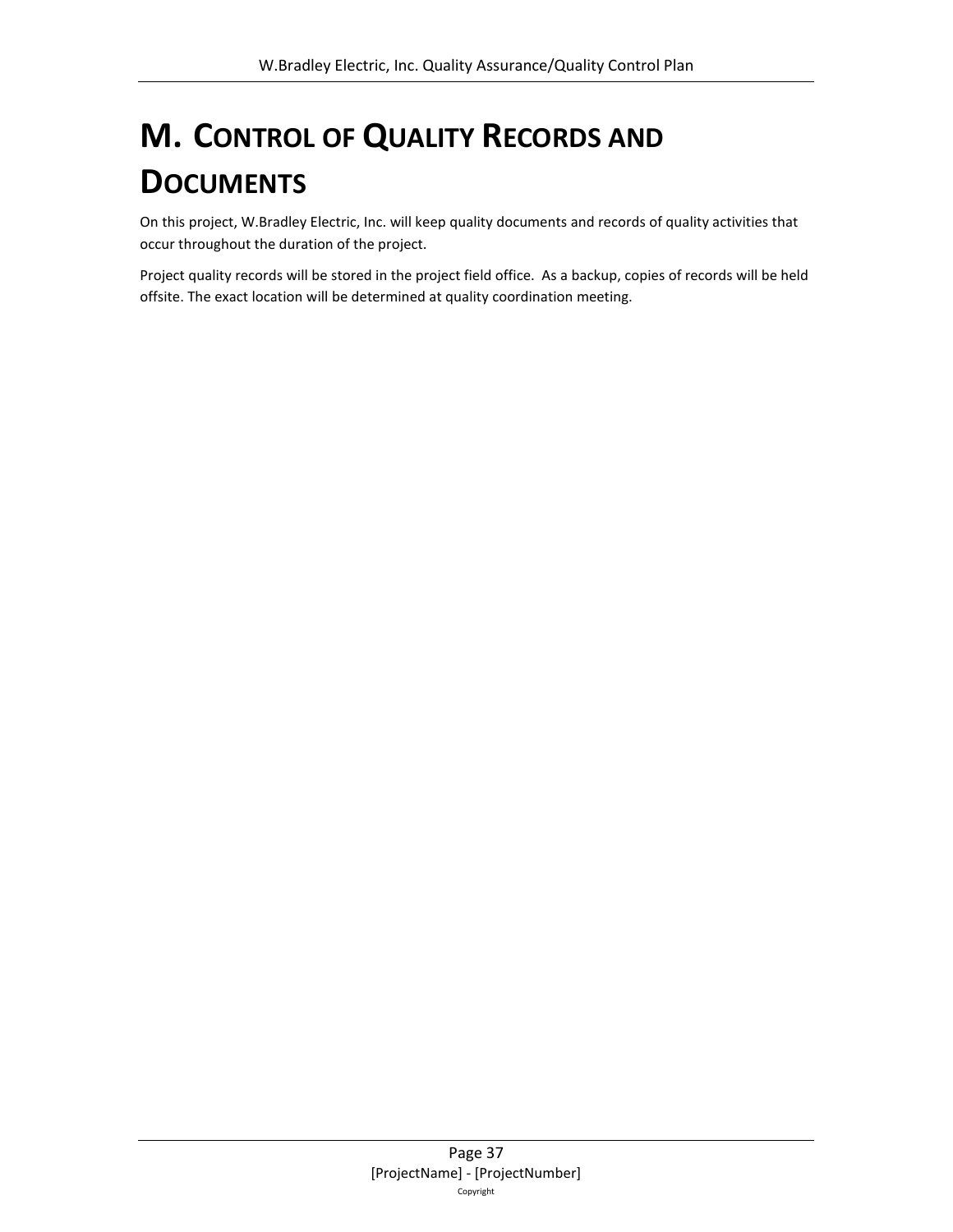# <span id="page-36-0"></span>**M. CONTROL OF QUALITY RECORDS AND DOCUMENTS**

On this project, W.Bradley Electric, Inc. will keep quality documents and records of quality activities that occur throughout the duration of the project.

Project quality records will be stored in the project field office. As a backup, copies of records will be held offsite. The exact location will be determined at quality coordination meeting.